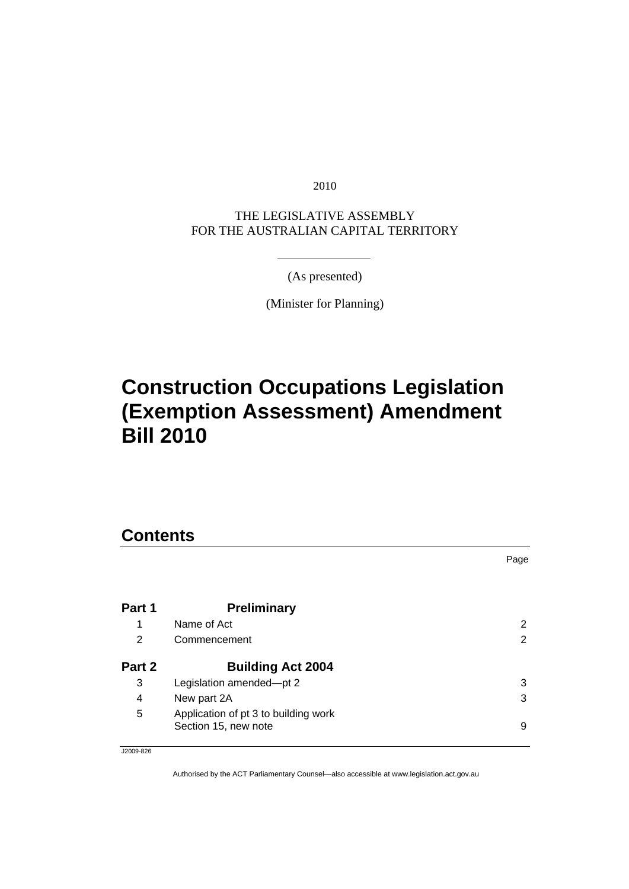2010

THE LEGISLATIVE ASSEMBLY FOR THE AUSTRALIAN CAPITAL TERRITORY

(As presented)

(Minister for Planning)

# **[Construction Occupations Legislation](#page-4-0)  [\(Exemption Assessment\) Amendment](#page-4-0)  [Bill 2010](#page-4-0)**

## **Contents**

|        |                                                              | Page |
|--------|--------------------------------------------------------------|------|
|        |                                                              |      |
| Part 1 | <b>Preliminary</b>                                           |      |
| 1      | Name of Act                                                  | 2    |
| 2      | Commencement                                                 | 2    |
| Part 2 | <b>Building Act 2004</b>                                     |      |
| 3      | Legislation amended-pt 2                                     | 3    |
| 4      | New part 2A                                                  | 3    |
| 5      | Application of pt 3 to building work<br>Section 15, new note | 9    |

J2009-826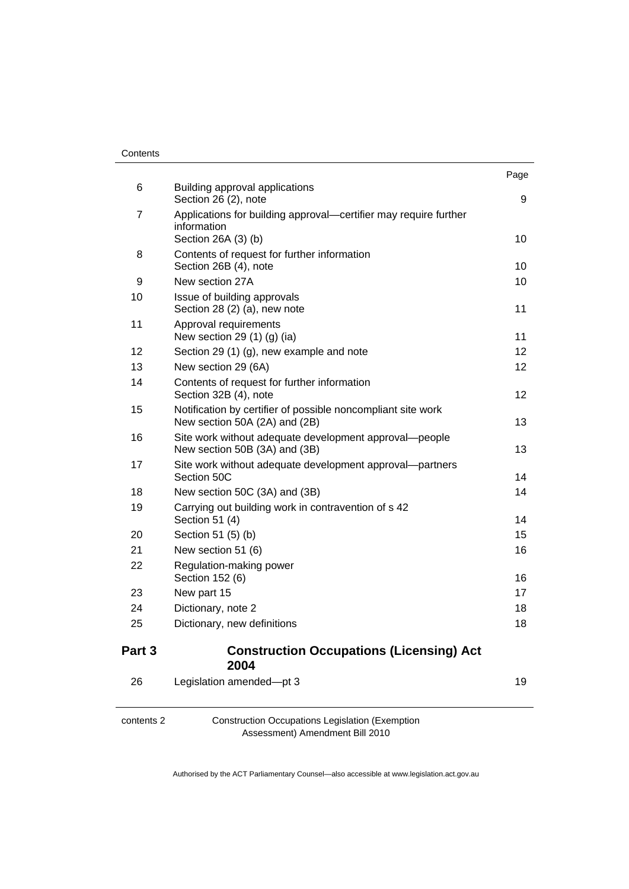| Contents |
|----------|
|----------|

| Part 3 | <b>Construction Occupations (Licensing) Act</b><br>2004                                                |      |
|--------|--------------------------------------------------------------------------------------------------------|------|
| 25     | Dictionary, new definitions                                                                            | 18   |
| 24     | Dictionary, note 2                                                                                     | 18   |
| 23     | New part 15                                                                                            | 17   |
| 22     | Regulation-making power<br>Section 152 (6)                                                             | 16   |
| 21     | New section 51 (6)                                                                                     | 16   |
| 20     | Section 51 (5) (b)                                                                                     | 15   |
| 19     | Carrying out building work in contravention of s 42<br>Section 51 (4)                                  | 14   |
| 18     | New section 50C (3A) and (3B)                                                                          | 14   |
| 17     | Site work without adequate development approval-partners<br>Section 50C                                | 14   |
| 16     | Site work without adequate development approval-people<br>New section 50B (3A) and (3B)                | 13   |
| 15     | Notification by certifier of possible noncompliant site work<br>New section 50A (2A) and (2B)          | 13   |
| 14     | Contents of request for further information<br>Section 32B (4), note                                   | 12   |
| 13     | New section 29 (6A)                                                                                    | 12   |
| 12     | Section 29 (1) (g), new example and note                                                               | 12   |
| 11     | Approval requirements<br>New section 29 (1) (g) (ia)                                                   | 11   |
| 10     | Issue of building approvals<br>Section 28 (2) (a), new note                                            | 11   |
| 9      | New section 27A                                                                                        | 10   |
| 8      | Contents of request for further information<br>Section 26B (4), note                                   | 10   |
| 7      | Applications for building approval—certifier may require further<br>information<br>Section 26A (3) (b) | 10   |
| 6      | Building approval applications<br>Section 26 (2), note                                                 | 9    |
|        |                                                                                                        | Page |

| 26 | Legislation amended-pt 3 |  |
|----|--------------------------|--|
|    |                          |  |
|    |                          |  |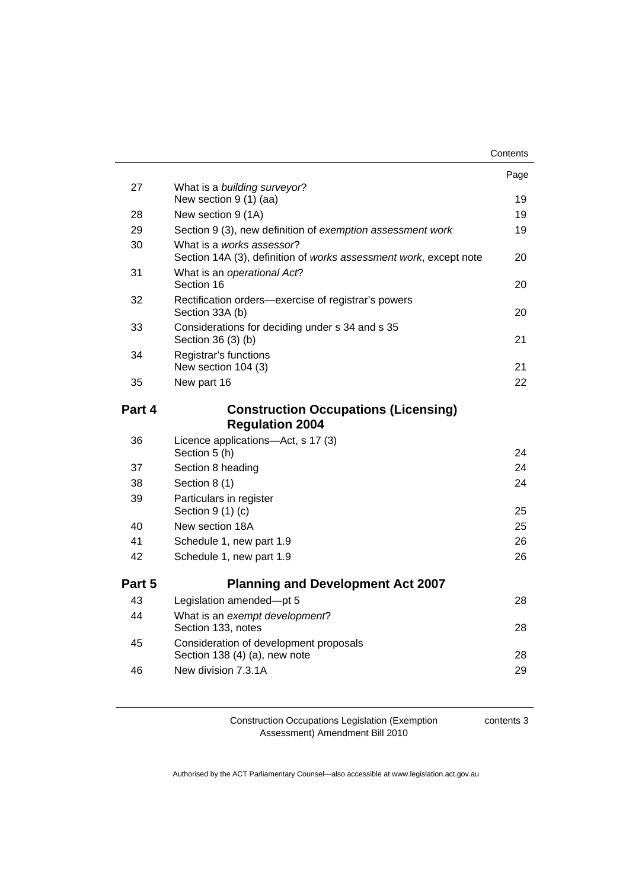|        |                                                                        | Contents |
|--------|------------------------------------------------------------------------|----------|
|        |                                                                        | Page     |
| 27     | What is a building surveyor?<br>New section 9 (1) (aa)                 | 19       |
| 28     | New section 9 (1A)                                                     | 19       |
| 29     | Section 9 (3), new definition of exemption assessment work             | 19       |
| 30     | What is a works assessor?                                              |          |
|        | Section 14A (3), definition of works assessment work, except note      | 20       |
| 31     | What is an operational Act?<br>Section 16                              | 20       |
| 32     | Rectification orders-exercise of registrar's powers<br>Section 33A (b) | 20       |
| 33     | Considerations for deciding under s 34 and s 35<br>Section 36 (3) (b)  | 21       |
| 34     | Registrar's functions                                                  |          |
|        | New section 104 (3)                                                    | 21       |
| 35     | New part 16                                                            | 22       |
| Part 4 | <b>Construction Occupations (Licensing)</b>                            |          |
|        | <b>Regulation 2004</b>                                                 |          |
| 36     | Licence applications-Act, s 17 (3)<br>Section 5 (h)                    | 24       |
| 37     | Section 8 heading                                                      | 24       |
| 38     | Section 8 (1)                                                          | 24       |
| 39     | Particulars in register<br>Section $9(1)(c)$                           | 25       |
| 40     | New section 18A                                                        | 25       |
| 41     | Schedule 1, new part 1.9                                               | 26       |
| 42     | Schedule 1, new part 1.9                                               | 26       |
|        |                                                                        |          |
| Part 5 | <b>Planning and Development Act 2007</b>                               |          |
| 43     | Legislation amended-pt 5                                               | 28       |
| 44     | What is an exempt development?<br>Section 133, notes                   | 28       |
| 45     | Consideration of development proposals                                 |          |
|        | Section 138 (4) (a), new note                                          | 28       |
| 46     | New division 7.3.1A                                                    | 29       |
|        |                                                                        |          |

contents 3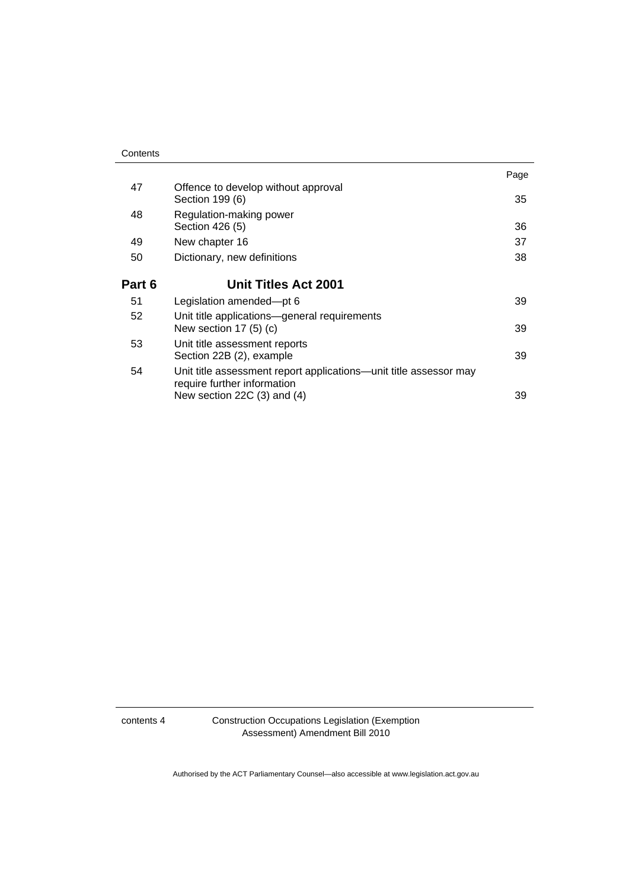|                                                                                                  | Page                            |
|--------------------------------------------------------------------------------------------------|---------------------------------|
| Offence to develop without approval<br>Section 199 (6)                                           | 35                              |
| Regulation-making power<br>Section 426 (5)                                                       | 36                              |
| New chapter 16                                                                                   | 37                              |
| Dictionary, new definitions                                                                      | 38                              |
| <b>Unit Titles Act 2001</b>                                                                      |                                 |
| Legislation amended-pt 6                                                                         | 39                              |
| Unit title applications—general requirements<br>New section $17(5)(c)$                           | 39                              |
| Unit title assessment reports<br>Section 22B (2), example                                        | 39                              |
| Unit title assessment report applications—unit title assessor may<br>require further information | 39                              |
|                                                                                                  | New section 22C $(3)$ and $(4)$ |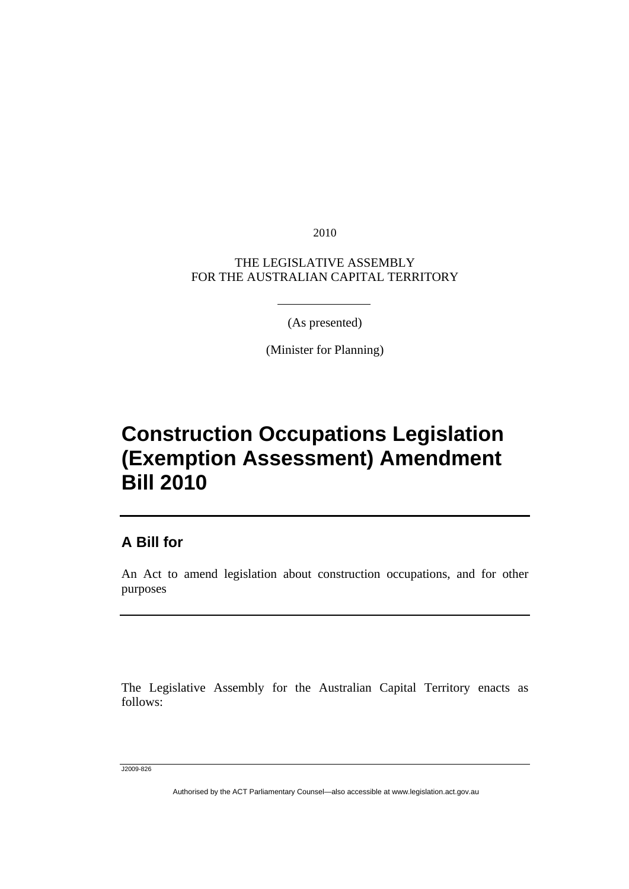2010

<span id="page-4-0"></span>THE LEGISLATIVE ASSEMBLY FOR THE AUSTRALIAN CAPITAL TERRITORY

(As presented)

(Minister for Planning)

# **Construction Occupations Legislation (Exemption Assessment) Amendment Bill 2010**

### **A Bill for**

An Act to amend legislation about construction occupations, and for other purposes

The Legislative Assembly for the Australian Capital Territory enacts as follows:

J2009-826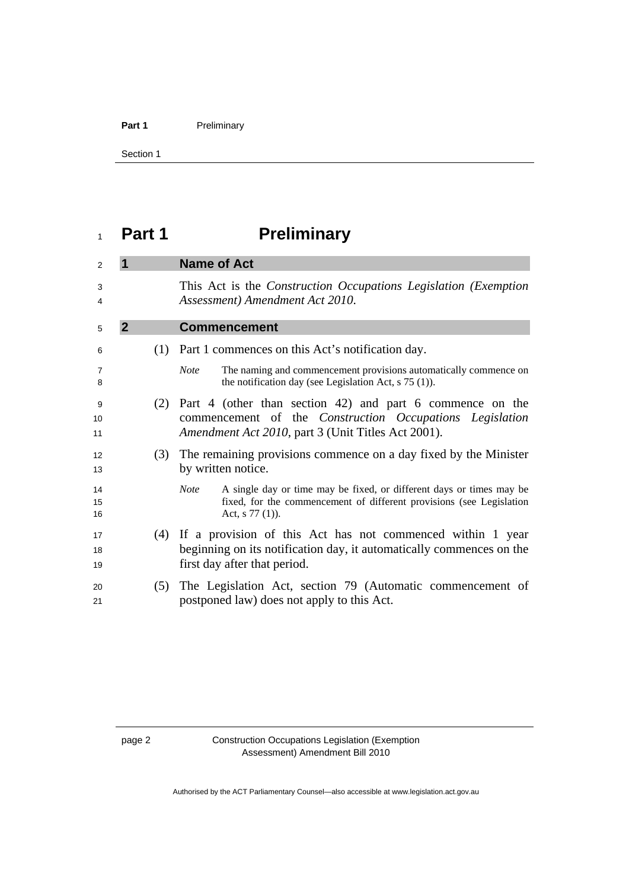### <span id="page-5-0"></span>Part 1 **Preliminary**

Section 1

# **Part 1 Preliminary**

| 2              | 1              | <b>Name of Act</b>                                                                                                                                                                 |
|----------------|----------------|------------------------------------------------------------------------------------------------------------------------------------------------------------------------------------|
| 3<br>4         |                | This Act is the <i>Construction Occupations Legislation</i> ( <i>Exemption</i> )<br>Assessment) Amendment Act 2010.                                                                |
| 5              | $\overline{2}$ | <b>Commencement</b>                                                                                                                                                                |
| 6              |                | (1) Part 1 commences on this Act's notification day.                                                                                                                               |
| 7<br>8         |                | The naming and commencement provisions automatically commence on<br><b>Note</b><br>the notification day (see Legislation Act, $s$ 75 (1)).                                         |
| 9<br>10<br>11  | (2)            | Part 4 (other than section 42) and part 6 commence on the<br>commencement of the <i>Construction Occupations Legislation</i><br>Amendment Act 2010, part 3 (Unit Titles Act 2001). |
| 12<br>13       | (3)            | The remaining provisions commence on a day fixed by the Minister<br>by written notice.                                                                                             |
| 14<br>15<br>16 |                | A single day or time may be fixed, or different days or times may be<br><b>Note</b><br>fixed, for the commencement of different provisions (see Legislation<br>Act, $s$ 77 (1)).   |
| 17<br>18<br>19 |                | (4) If a provision of this Act has not commenced within 1 year<br>beginning on its notification day, it automatically commences on the<br>first day after that period.             |
| 20<br>21       | (5)            | The Legislation Act, section 79 (Automatic commencement of<br>postponed law) does not apply to this Act.                                                                           |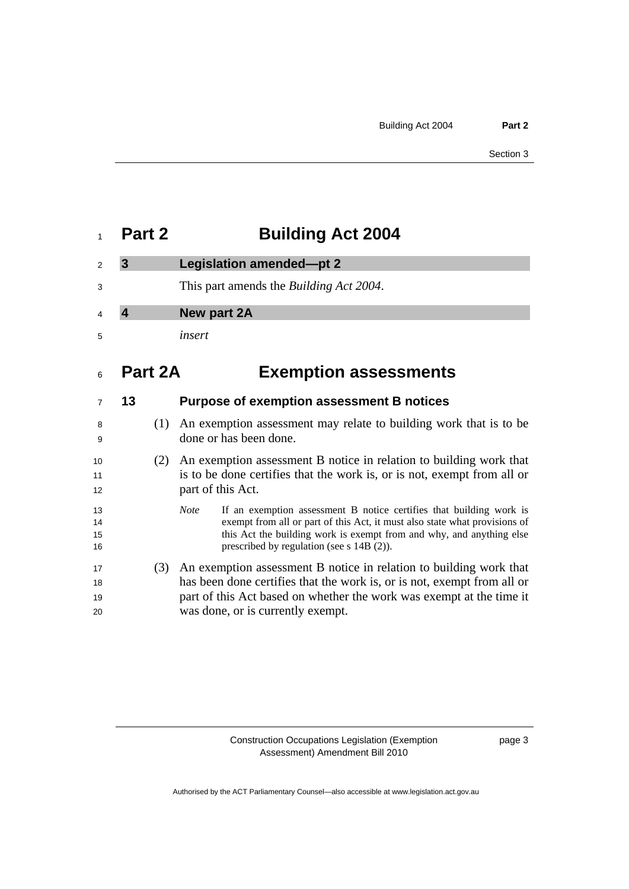<span id="page-6-0"></span>

| 2 | Legislation amended-pt 2                        |
|---|-------------------------------------------------|
| 3 | This part amends the <i>Building Act 2004</i> . |
| 4 | New part 2A                                     |
| 5 | insert                                          |
|   |                                                 |

# **Part 2A Exemption assessments**

|                      | 13 |     | <b>Purpose of exemption assessment B notices</b>                                                                                                                                                                                                                                           |
|----------------------|----|-----|--------------------------------------------------------------------------------------------------------------------------------------------------------------------------------------------------------------------------------------------------------------------------------------------|
| 8<br>9               |    |     | (1) An exemption assessment may relate to building work that is to be<br>done or has been done.                                                                                                                                                                                            |
| 10<br>11<br>12       |    | (2) | An exemption assessment B notice in relation to building work that<br>is to be done certifies that the work is, or is not, exempt from all or<br>part of this Act.                                                                                                                         |
| 13<br>14<br>15<br>16 |    |     | If an exemption assessment B notice certifies that building work is<br><b>Note</b><br>exempt from all or part of this Act, it must also state what provisions of<br>this Act the building work is exempt from and why, and anything else<br>prescribed by regulation (see $s$ 14B $(2)$ ). |
| 17<br>18<br>19<br>20 |    | (3) | An exemption assessment B notice in relation to building work that<br>has been done certifies that the work is, or is not, exempt from all or<br>part of this Act based on whether the work was exempt at the time it<br>was done, or is currently exempt.                                 |

page 3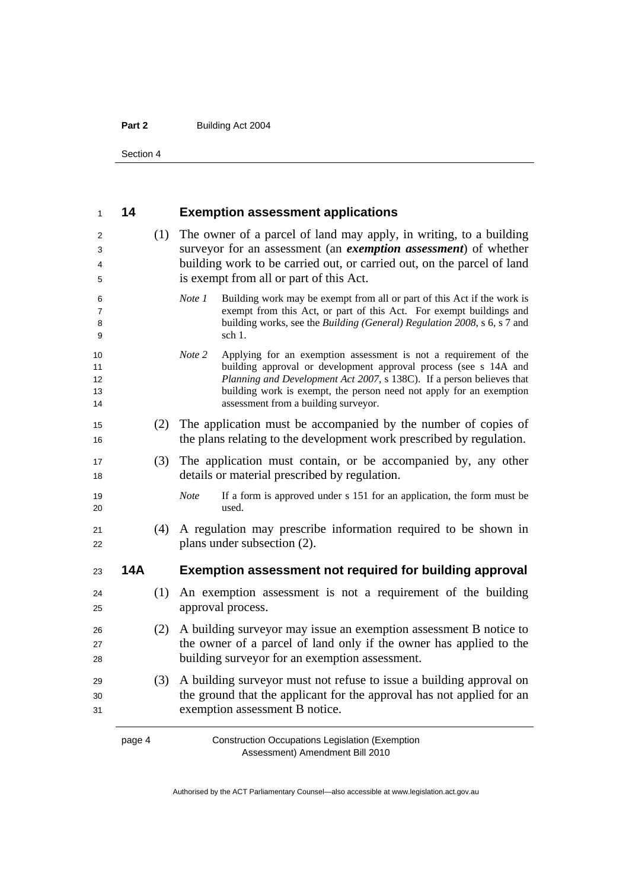Section 4

| 1                          | 14         |     | <b>Exemption assessment applications</b>                                                                                                                                                                                                                                                                                               |
|----------------------------|------------|-----|----------------------------------------------------------------------------------------------------------------------------------------------------------------------------------------------------------------------------------------------------------------------------------------------------------------------------------------|
| 2<br>3<br>4<br>5           |            | (1) | The owner of a parcel of land may apply, in writing, to a building<br>surveyor for an assessment (an exemption assessment) of whether<br>building work to be carried out, or carried out, on the parcel of land<br>is exempt from all or part of this Act.                                                                             |
| 6<br>7<br>8<br>9           |            |     | Building work may be exempt from all or part of this Act if the work is<br>Note 1<br>exempt from this Act, or part of this Act. For exempt buildings and<br>building works, see the Building (General) Regulation 2008, s 6, s 7 and<br>sch 1.                                                                                         |
| 10<br>11<br>12<br>13<br>14 |            |     | Applying for an exemption assessment is not a requirement of the<br>Note 2<br>building approval or development approval process (see s 14A and<br>Planning and Development Act 2007, s 138C). If a person believes that<br>building work is exempt, the person need not apply for an exemption<br>assessment from a building surveyor. |
| 15<br>16                   |            | (2) | The application must be accompanied by the number of copies of<br>the plans relating to the development work prescribed by regulation.                                                                                                                                                                                                 |
| 17<br>18                   |            | (3) | The application must contain, or be accompanied by, any other<br>details or material prescribed by regulation.                                                                                                                                                                                                                         |
| 19<br>20                   |            |     | <b>Note</b><br>If a form is approved under s 151 for an application, the form must be<br>used.                                                                                                                                                                                                                                         |
| 21<br>22                   |            | (4) | A regulation may prescribe information required to be shown in<br>plans under subsection (2).                                                                                                                                                                                                                                          |
| 23                         | <b>14A</b> |     | Exemption assessment not required for building approval                                                                                                                                                                                                                                                                                |
| 24<br>25                   |            | (1) | An exemption assessment is not a requirement of the building<br>approval process.                                                                                                                                                                                                                                                      |
| 26<br>27<br>28             |            | (2) | A building surveyor may issue an exemption assessment B notice to<br>the owner of a parcel of land only if the owner has applied to the<br>building surveyor for an exemption assessment.                                                                                                                                              |
| 29<br>30<br>31             |            | (3) | A building surveyor must not refuse to issue a building approval on<br>the ground that the applicant for the approval has not applied for an<br>exemption assessment B notice.                                                                                                                                                         |
|                            | page 4     |     | <b>Construction Occupations Legislation (Exemption</b>                                                                                                                                                                                                                                                                                 |

Assessment) Amendment Bill 2010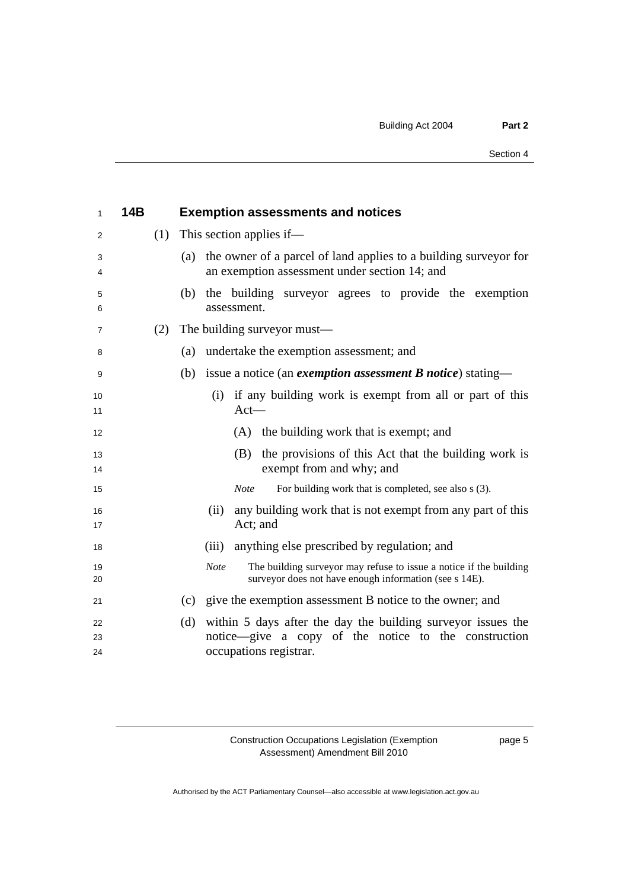| 1        | <b>14B</b> | <b>Exemption assessments and notices</b>                                                                                                    |
|----------|------------|---------------------------------------------------------------------------------------------------------------------------------------------|
| 2        | (1)        | This section applies if—                                                                                                                    |
| 3<br>4   |            | the owner of a parcel of land applies to a building survey or for<br>(a)<br>an exemption assessment under section 14; and                   |
| 5<br>6   |            | the building surveyor agrees to provide the exemption<br>(b)<br>assessment.                                                                 |
| 7        | (2)        | The building surveyor must—                                                                                                                 |
| 8        |            | undertake the exemption assessment; and<br>(a)                                                                                              |
| 9        |            | issue a notice (an <i>exemption assessment</i> $\bm{B}$ <i>notice</i> ) stating—<br>(b)                                                     |
| 10<br>11 |            | (i) if any building work is exempt from all or part of this<br>$Act-$                                                                       |
| 12       |            | (A) the building work that is exempt; and                                                                                                   |
| 13<br>14 |            | the provisions of this Act that the building work is<br>(B)<br>exempt from and why; and                                                     |
| 15       |            | <b>Note</b><br>For building work that is completed, see also s (3).                                                                         |
| 16<br>17 |            | any building work that is not exempt from any part of this<br>(ii)<br>Act; and                                                              |
| 18       |            | anything else prescribed by regulation; and<br>(iii)                                                                                        |
| 19<br>20 |            | The building surveyor may refuse to issue a notice if the building<br><b>Note</b><br>surveyor does not have enough information (see s 14E). |
| 21       |            | give the exemption assessment B notice to the owner; and<br>(c)                                                                             |
| 22<br>23 |            | within 5 days after the day the building surveyor issues the<br>(d)<br>notice—give a copy of the notice to the construction                 |
| 24       |            | occupations registrar.                                                                                                                      |

page 5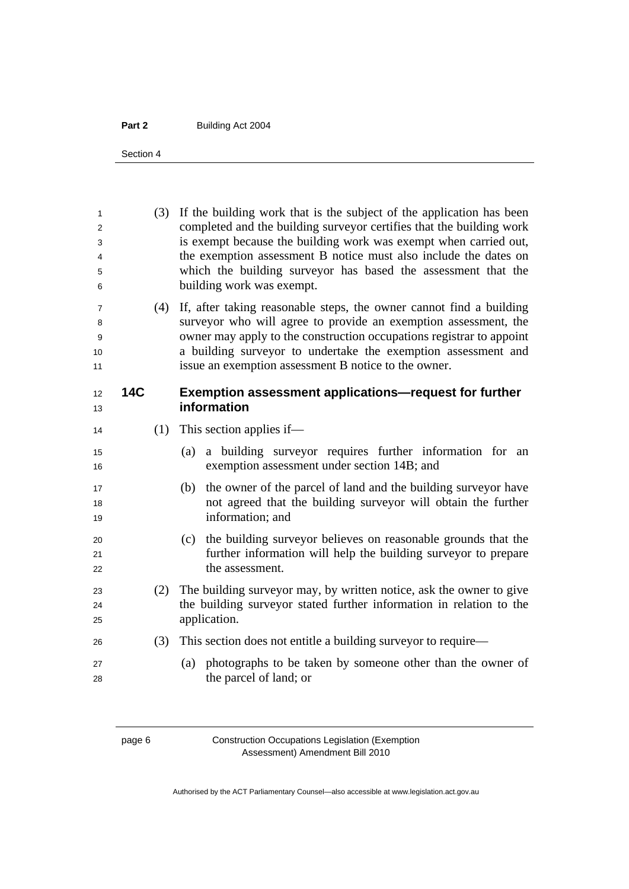Section 4

(3) If the building work that is the subject of the application has been completed and the building surveyor certifies that the building work is exempt because the building work was exempt when carried out, the exemption assessment B notice must also include the dates on which the building surveyor has based the assessment that the building work was exempt. (4) If, after taking reasonable steps, the owner cannot find a building surveyor who will agree to provide an exemption assessment, the owner may apply to the construction occupations registrar to appoint a building surveyor to undertake the exemption assessment and issue an exemption assessment B notice to the owner. **14C Exemption assessment applications—request for further information**  14 (1) This section applies if— (a) a building surveyor requires further information for an 16 exemption assessment under section 14B; and (b) the owner of the parcel of land and the building surveyor have not agreed that the building surveyor will obtain the further 19 and information; and (c) the building surveyor believes on reasonable grounds that the further information will help the building surveyor to prepare 22 the assessment. (2) The building surveyor may, by written notice, ask the owner to give the building surveyor stated further information in relation to the 25 application. (3) This section does not entitle a building surveyor to require— (a) photographs to be taken by someone other than the owner of the parcel of land; or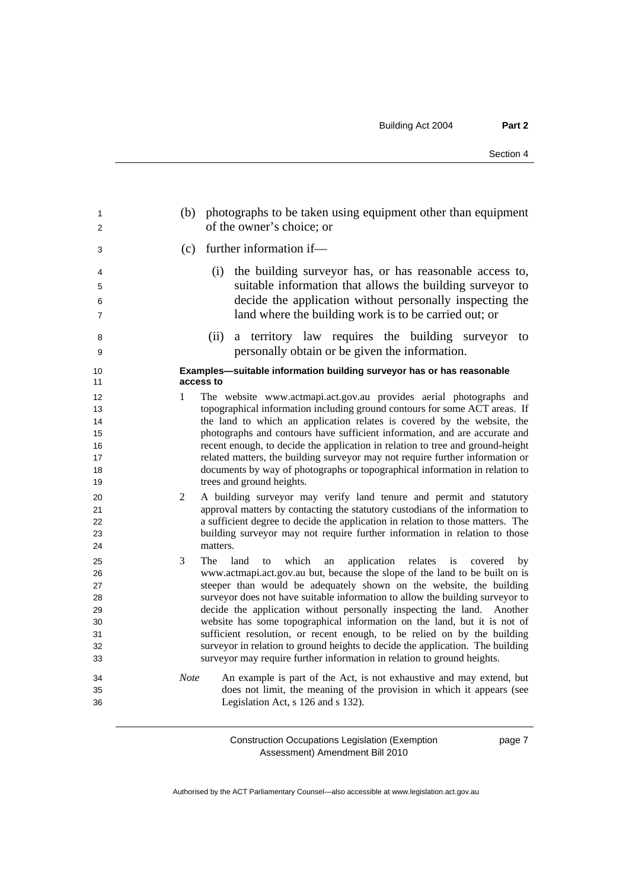| 1<br>2   | photographs to be taken using equipment other than equipment<br>(b)<br>of the owner's choice; or                                                      |
|----------|-------------------------------------------------------------------------------------------------------------------------------------------------------|
| 3        | further information if-<br>(c)                                                                                                                        |
| 4<br>5   | (i) the building surveyor has, or has reasonable access to,<br>suitable information that allows the building surveyor to                              |
| 6<br>7   | decide the application without personally inspecting the<br>land where the building work is to be carried out; or                                     |
| 8<br>9   | a territory law requires the building surveyor<br>(ii)<br>to<br>personally obtain or be given the information.                                        |
| 10<br>11 | Examples-suitable information building surveyor has or has reasonable<br>access to                                                                    |
| 12<br>13 | The website www.actmapi.act.gov.au provides aerial photographs and<br>1<br>topographical information including ground contours for some ACT areas. If |
| 14       | the land to which an application relates is covered by the website, the                                                                               |
| 15       | photographs and contours have sufficient information, and are accurate and                                                                            |
| 16       | recent enough, to decide the application in relation to tree and ground-height                                                                        |
| 17       | related matters, the building surveyor may not require further information or                                                                         |
| 18       | documents by way of photographs or topographical information in relation to                                                                           |
| 19       | trees and ground heights.                                                                                                                             |
| 20       | A building surveyor may verify land tenure and permit and statutory<br>2                                                                              |
| 21       | approval matters by contacting the statutory custodians of the information to                                                                         |
| 22       | a sufficient degree to decide the application in relation to those matters. The                                                                       |
| 23       | building surveyor may not require further information in relation to those                                                                            |
| 24       | matters.                                                                                                                                              |
| 25       | 3<br>The<br>land<br>which<br>application relates<br>to<br>an<br>is<br>covered<br>by                                                                   |
| 26       | www.actmapi.act.gov.au but, because the slope of the land to be built on is                                                                           |
| 27       | steeper than would be adequately shown on the website, the building                                                                                   |
| 28       | surveyor does not have suitable information to allow the building surveyor to                                                                         |
| 29       | decide the application without personally inspecting the land.<br>Another                                                                             |
| 30       | website has some topographical information on the land, but it is not of                                                                              |
| 31       | sufficient resolution, or recent enough, to be relied on by the building                                                                              |
| 32       | surveyor in relation to ground heights to decide the application. The building                                                                        |
| 33       | surveyor may require further information in relation to ground heights.                                                                               |
| 34       | <b>Note</b><br>An example is part of the Act, is not exhaustive and may extend, but                                                                   |
| 35       | does not limit, the meaning of the provision in which it appears (see                                                                                 |
| 36       | Legislation Act, s 126 and s 132).                                                                                                                    |

page 7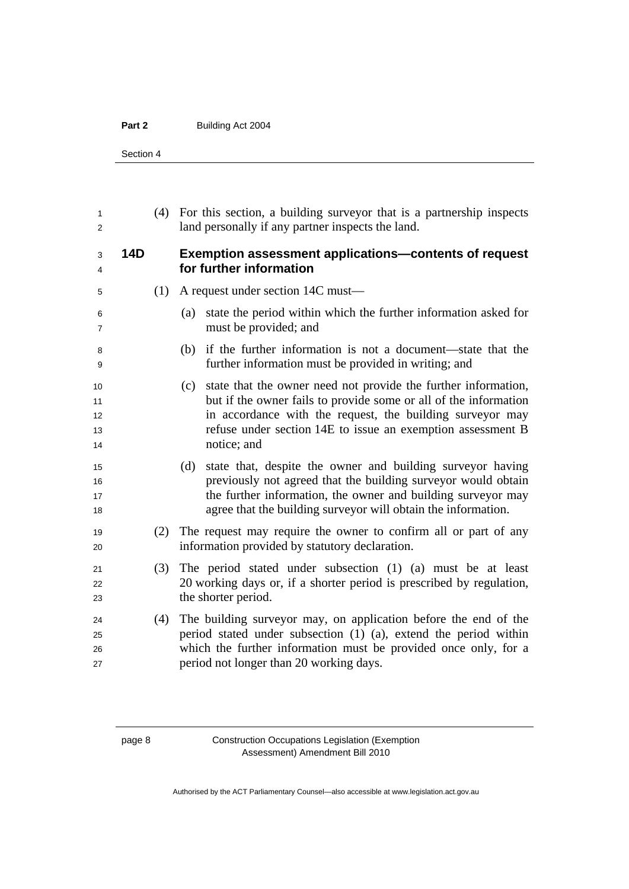Section 4

| 1<br>2                     |            |     | (4) For this section, a building survey or that is a partnership inspects<br>land personally if any partner inspects the land.                                                                                                                                                       |
|----------------------------|------------|-----|--------------------------------------------------------------------------------------------------------------------------------------------------------------------------------------------------------------------------------------------------------------------------------------|
| 3<br>4                     | <b>14D</b> |     | <b>Exemption assessment applications-contents of request</b><br>for further information                                                                                                                                                                                              |
| 5                          |            | (1) | A request under section 14C must—                                                                                                                                                                                                                                                    |
| 6<br>7                     |            |     | state the period within which the further information asked for<br>(a)<br>must be provided; and                                                                                                                                                                                      |
| 8<br>9                     |            |     | if the further information is not a document—state that the<br>(b)<br>further information must be provided in writing; and                                                                                                                                                           |
| 10<br>11<br>12<br>13<br>14 |            |     | state that the owner need not provide the further information,<br>(c)<br>but if the owner fails to provide some or all of the information<br>in accordance with the request, the building surveyor may<br>refuse under section 14E to issue an exemption assessment B<br>notice; and |
| 15<br>16<br>17<br>18       |            |     | state that, despite the owner and building surveyor having<br>(d)<br>previously not agreed that the building surveyor would obtain<br>the further information, the owner and building surveyor may<br>agree that the building surveyor will obtain the information.                  |
| 19<br>20                   |            | (2) | The request may require the owner to confirm all or part of any<br>information provided by statutory declaration.                                                                                                                                                                    |
| 21<br>22<br>23             |            | (3) | The period stated under subsection (1) (a) must be at least<br>20 working days or, if a shorter period is prescribed by regulation,<br>the shorter period.                                                                                                                           |
| 24<br>25<br>26<br>27       |            | (4) | The building surveyor may, on application before the end of the<br>period stated under subsection (1) (a), extend the period within<br>which the further information must be provided once only, for a<br>period not longer than 20 working days.                                    |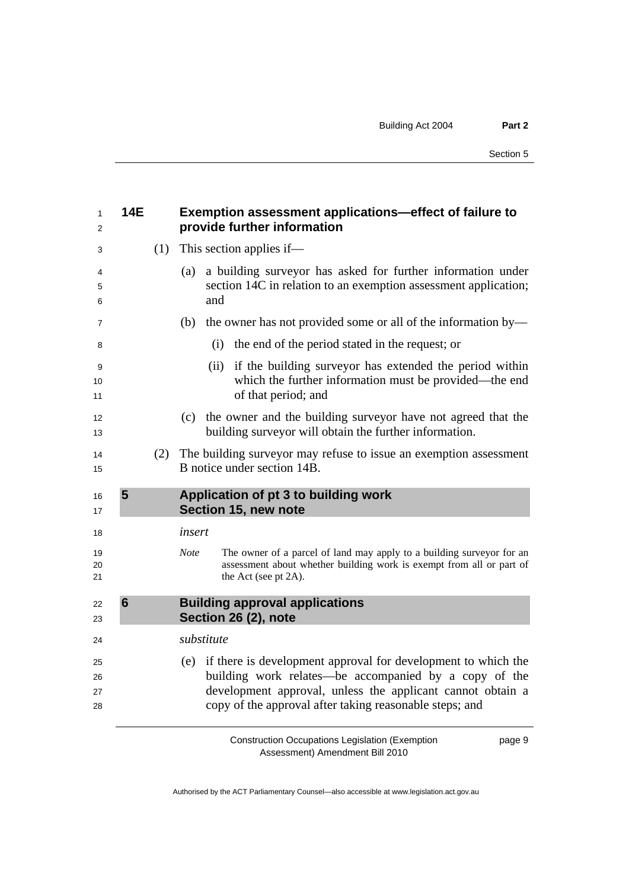<span id="page-12-0"></span>

| 1<br>2               | <b>14E</b>      |     | Exemption assessment applications-effect of failure to<br>provide further information                                                                                                                                                               |
|----------------------|-----------------|-----|-----------------------------------------------------------------------------------------------------------------------------------------------------------------------------------------------------------------------------------------------------|
| 3                    |                 | (1) | This section applies if—                                                                                                                                                                                                                            |
| 4<br>5<br>6          |                 |     | a building surveyor has asked for further information under<br>(a)<br>section 14C in relation to an exemption assessment application;<br>and                                                                                                        |
| $\overline{7}$       |                 |     | the owner has not provided some or all of the information by—<br>(b)                                                                                                                                                                                |
| 8                    |                 |     | the end of the period stated in the request; or<br>(i)                                                                                                                                                                                              |
| 9<br>10<br>11        |                 |     | if the building surveyor has extended the period within<br>(ii)<br>which the further information must be provided—the end<br>of that period; and                                                                                                    |
| 12<br>13             |                 |     | the owner and the building surveyor have not agreed that the<br>(c)<br>building surveyor will obtain the further information.                                                                                                                       |
| 14<br>15             |                 | (2) | The building surveyor may refuse to issue an exemption assessment<br>B notice under section 14B.                                                                                                                                                    |
| 16<br>17             | 5               |     | Application of pt 3 to building work<br>Section 15, new note                                                                                                                                                                                        |
| 18                   |                 |     | insert                                                                                                                                                                                                                                              |
| 19<br>20<br>21       |                 |     | <b>Note</b><br>The owner of a parcel of land may apply to a building surveyor for an<br>assessment about whether building work is exempt from all or part of<br>the Act (see pt 2A).                                                                |
| 22<br>23             | $6\phantom{1}6$ |     | <b>Building approval applications</b><br>Section 26 (2), note                                                                                                                                                                                       |
| 24                   |                 |     | substitute                                                                                                                                                                                                                                          |
| 25<br>26<br>27<br>28 |                 |     | (e) if there is development approval for development to which the<br>building work relates-be accompanied by a copy of the<br>development approval, unless the applicant cannot obtain a<br>copy of the approval after taking reasonable steps; and |

page 9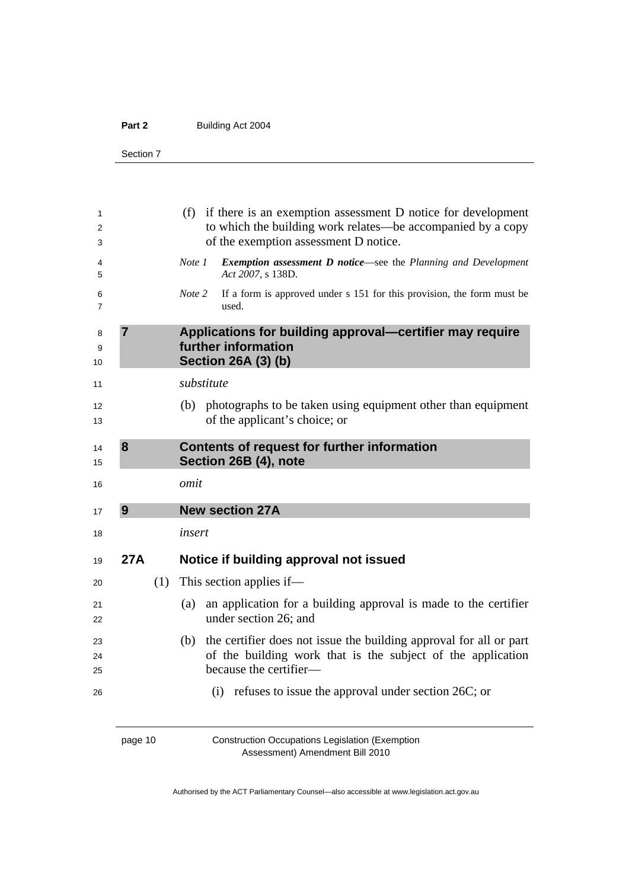<span id="page-13-0"></span>Section 7

| 1<br>2<br>3         |                |     | (f) if there is an exemption assessment D notice for development<br>to which the building work relates—be accompanied by a copy<br>of the exemption assessment D notice. |
|---------------------|----------------|-----|--------------------------------------------------------------------------------------------------------------------------------------------------------------------------|
| 4<br>5              |                |     | <b>Exemption assessment D notice—see the Planning and Development</b><br>Note 1<br>Act 2007, s 138D.                                                                     |
| 6<br>$\overline{7}$ |                |     | If a form is approved under s 151 for this provision, the form must be<br>Note 2<br>used.                                                                                |
| 8<br>9<br>10        | $\overline{7}$ |     | Applications for building approval-certifier may require<br>further information<br><b>Section 26A (3) (b)</b>                                                            |
| 11                  |                |     | substitute                                                                                                                                                               |
| 12<br>13            |                |     | (b) photographs to be taken using equipment other than equipment<br>of the applicant's choice; or                                                                        |
| 14<br>15            | 8              |     | Contents of request for further information<br>Section 26B (4), note                                                                                                     |
| 16                  |                |     | omit                                                                                                                                                                     |
| 17                  | 9              |     | <b>New section 27A</b>                                                                                                                                                   |
| 18                  |                |     | insert                                                                                                                                                                   |
| 19                  | <b>27A</b>     |     | Notice if building approval not issued                                                                                                                                   |
| 20                  |                | (1) | This section applies if—                                                                                                                                                 |
| 21<br>22            |                |     | an application for a building approval is made to the certifier<br>(a)<br>under section 26; and                                                                          |
| 23<br>24<br>25      |                |     | the certifier does not issue the building approval for all or part<br>(b)<br>of the building work that is the subject of the application<br>because the certifier-       |
| 26                  |                |     | $(i)$ refuses to issue the approval under section 26C; or                                                                                                                |

page 10 Construction Occupations Legislation (Exemption Assessment) Amendment Bill 2010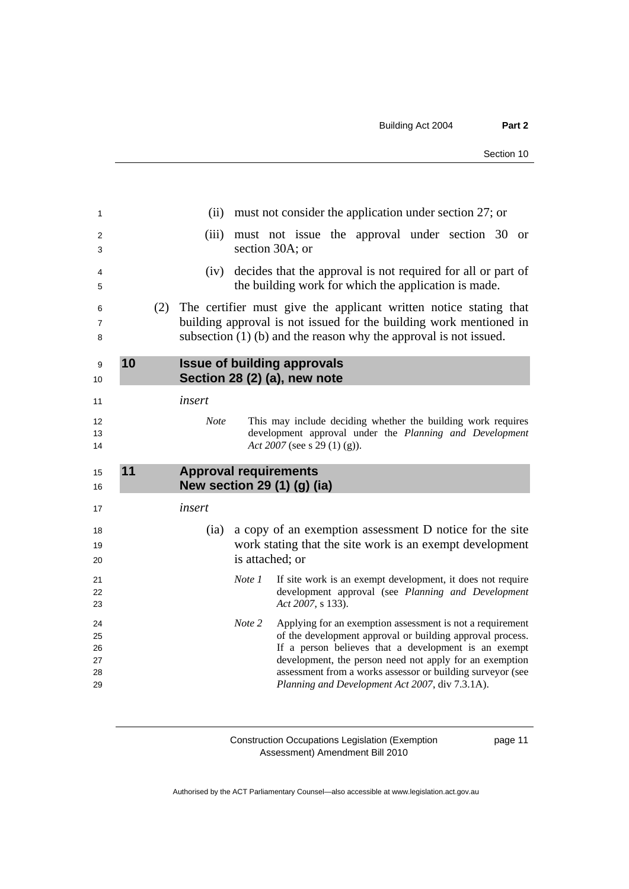<span id="page-14-0"></span>

| 1                        |    |     |                       | (ii) must not consider the application under section 27; or                                                                                                                                                    |  |
|--------------------------|----|-----|-----------------------|----------------------------------------------------------------------------------------------------------------------------------------------------------------------------------------------------------------|--|
| 2<br>3                   |    |     | (iii)                 | must not issue the approval under section 30 or<br>section 30A; or                                                                                                                                             |  |
| 4<br>5                   |    |     |                       | (iv) decides that the approval is not required for all or part of<br>the building work for which the application is made.                                                                                      |  |
| 6<br>$\overline{7}$<br>8 |    | (2) |                       | The certifier must give the applicant written notice stating that<br>building approval is not issued for the building work mentioned in<br>subsection $(1)$ (b) and the reason why the approval is not issued. |  |
| 9<br>10                  | 10 |     |                       | <b>Issue of building approvals</b><br>Section 28 (2) (a), new note                                                                                                                                             |  |
| 11<br>12<br>13<br>14     |    |     | insert<br><b>Note</b> | This may include deciding whether the building work requires<br>development approval under the Planning and Development<br>Act 2007 (see s 29 (1) (g)).                                                        |  |
|                          |    |     |                       |                                                                                                                                                                                                                |  |
| 15<br>16                 | 11 |     |                       | <b>Approval requirements</b><br>New section 29 (1) (g) (ia)                                                                                                                                                    |  |
| 17                       |    |     | insert                |                                                                                                                                                                                                                |  |
| 18<br>19<br>20           |    |     | (ia)                  | a copy of an exemption assessment D notice for the site<br>work stating that the site work is an exempt development<br>is attached; or                                                                         |  |
| 21<br>22<br>23           |    |     |                       | Note 1<br>If site work is an exempt development, it does not require<br>development approval (see Planning and Development<br>Act 2007, s 133).                                                                |  |

page 11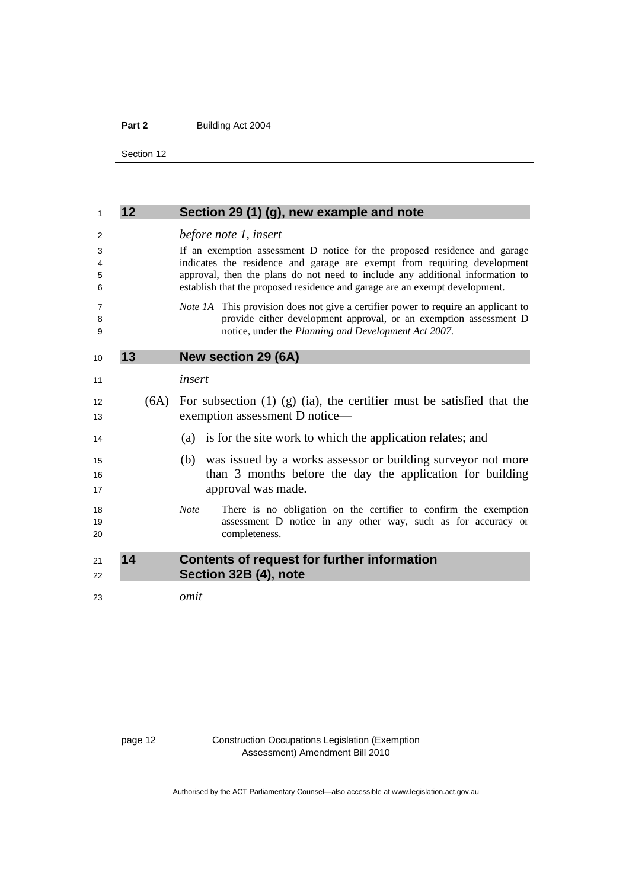<span id="page-15-0"></span>Section 12

| 12 |      | Section 29 (1) (g), new example and note                                                                                                                                                                                                                                                                              |
|----|------|-----------------------------------------------------------------------------------------------------------------------------------------------------------------------------------------------------------------------------------------------------------------------------------------------------------------------|
|    |      | before note 1, insert                                                                                                                                                                                                                                                                                                 |
|    |      | If an exemption assessment D notice for the proposed residence and garage<br>indicates the residence and garage are exempt from requiring development<br>approval, then the plans do not need to include any additional information to<br>establish that the proposed residence and garage are an exempt development. |
|    |      | <i>Note 1A</i> This provision does not give a certifier power to require an applicant to<br>provide either development approval, or an exemption assessment D<br>notice, under the Planning and Development Act 2007.                                                                                                 |
| 13 |      | <b>New section 29 (6A)</b>                                                                                                                                                                                                                                                                                            |
|    |      | insert                                                                                                                                                                                                                                                                                                                |
|    | (6A) | For subsection $(1)$ $(g)$ $(ia)$ , the certifier must be satisfied that the<br>exemption assessment D notice-                                                                                                                                                                                                        |
|    |      | (a) is for the site work to which the application relates; and                                                                                                                                                                                                                                                        |
|    |      | was issued by a works assessor or building survey or not more<br>(b)<br>than 3 months before the day the application for building<br>approval was made.                                                                                                                                                               |
|    |      | There is no obligation on the certifier to confirm the exemption<br><b>Note</b><br>assessment D notice in any other way, such as for accuracy or<br>completeness.                                                                                                                                                     |
| 14 |      | Contents of request for further information<br>Section 32B (4), note                                                                                                                                                                                                                                                  |
|    |      | omit                                                                                                                                                                                                                                                                                                                  |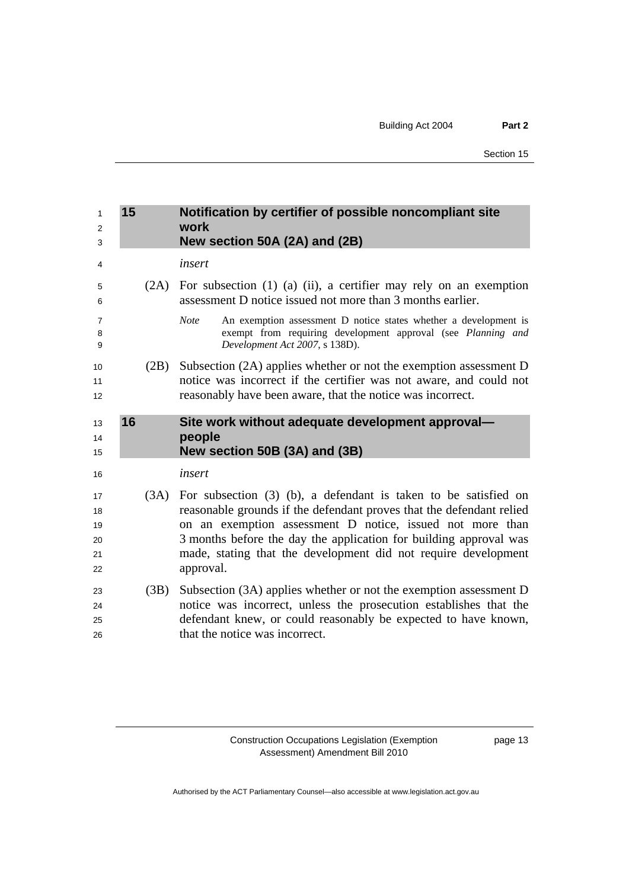<span id="page-16-0"></span>

| 1<br>2<br>3                      | 15   | Notification by certifier of possible noncompliant site<br>work<br>New section 50A (2A) and (2B)                                                                                                                                                                                                                                                           |
|----------------------------------|------|------------------------------------------------------------------------------------------------------------------------------------------------------------------------------------------------------------------------------------------------------------------------------------------------------------------------------------------------------------|
| 4                                |      | insert                                                                                                                                                                                                                                                                                                                                                     |
| 5<br>6                           | (2A) | For subsection $(1)$ $(a)$ $(ii)$ , a certifier may rely on an exemption<br>assessment D notice issued not more than 3 months earlier.                                                                                                                                                                                                                     |
| 7<br>8<br>9                      |      | <b>Note</b><br>An exemption assessment D notice states whether a development is<br>exempt from requiring development approval (see Planning and<br>Development Act 2007, s 138D).                                                                                                                                                                          |
| 10<br>11<br>12                   | (2B) | Subsection (2A) applies whether or not the exemption assessment D<br>notice was incorrect if the certifier was not aware, and could not<br>reasonably have been aware, that the notice was incorrect.                                                                                                                                                      |
| 13<br>14<br>15                   | 16   | Site work without adequate development approval-<br>people<br>New section 50B (3A) and (3B)                                                                                                                                                                                                                                                                |
| 16                               |      | insert                                                                                                                                                                                                                                                                                                                                                     |
| 17<br>18<br>19<br>20<br>21<br>22 | (3A) | For subsection $(3)$ (b), a defendant is taken to be satisfied on<br>reasonable grounds if the defendant proves that the defendant relied<br>on an exemption assessment D notice, issued not more than<br>3 months before the day the application for building approval was<br>made, stating that the development did not require development<br>approval. |
| 23<br>24<br>25<br>26             | (3B) | Subsection (3A) applies whether or not the exemption assessment D<br>notice was incorrect, unless the prosecution establishes that the<br>defendant knew, or could reasonably be expected to have known,<br>that the notice was incorrect.                                                                                                                 |

page 13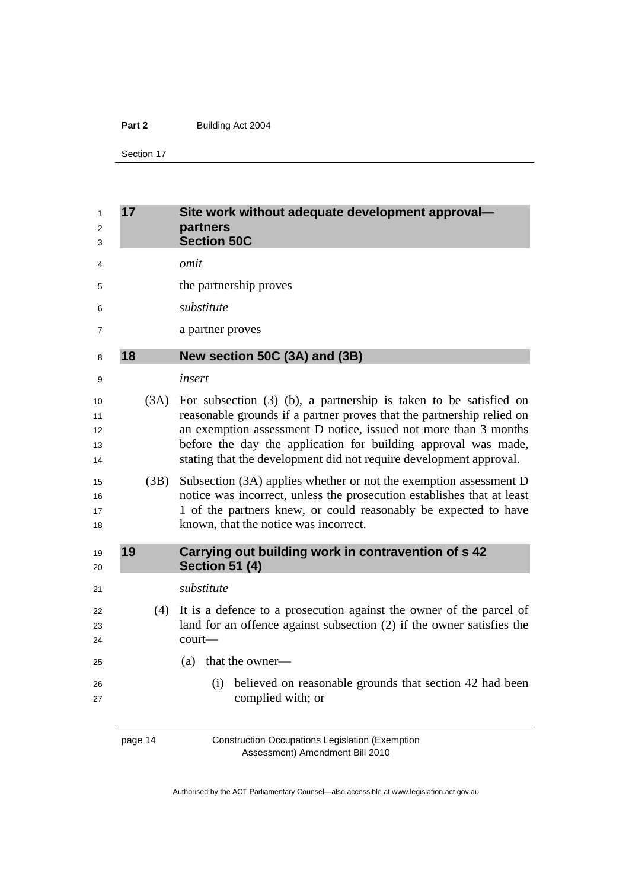<span id="page-17-0"></span>Section 17

| 1<br>2<br>3                | 17   | Site work without adequate development approval-<br>partners<br><b>Section 50C</b>                                                                                                                                                                                                                                                                      |
|----------------------------|------|---------------------------------------------------------------------------------------------------------------------------------------------------------------------------------------------------------------------------------------------------------------------------------------------------------------------------------------------------------|
| 4                          |      | omit                                                                                                                                                                                                                                                                                                                                                    |
| 5                          |      | the partnership proves                                                                                                                                                                                                                                                                                                                                  |
| 6                          |      | substitute                                                                                                                                                                                                                                                                                                                                              |
| 7                          |      | a partner proves                                                                                                                                                                                                                                                                                                                                        |
| 8                          | 18   | New section 50C (3A) and (3B)                                                                                                                                                                                                                                                                                                                           |
| 9                          |      | insert                                                                                                                                                                                                                                                                                                                                                  |
| 10<br>11<br>12<br>13<br>14 | (3A) | For subsection $(3)$ (b), a partnership is taken to be satisfied on<br>reasonable grounds if a partner proves that the partnership relied on<br>an exemption assessment D notice, issued not more than 3 months<br>before the day the application for building approval was made,<br>stating that the development did not require development approval. |
| 15<br>16<br>17<br>18       | (3B) | Subsection (3A) applies whether or not the exemption assessment D<br>notice was incorrect, unless the prosecution establishes that at least<br>1 of the partners knew, or could reasonably be expected to have<br>known, that the notice was incorrect.                                                                                                 |
| 19<br>20                   | 19   | Carrying out building work in contravention of s 42<br><b>Section 51 (4)</b>                                                                                                                                                                                                                                                                            |
| 21                         |      | substitute                                                                                                                                                                                                                                                                                                                                              |
| 22<br>23<br>24             | (4)  | It is a defence to a prosecution against the owner of the parcel of<br>land for an offence against subsection (2) if the owner satisfies the<br>court-                                                                                                                                                                                                  |
| 25                         |      | (a) that the owner—                                                                                                                                                                                                                                                                                                                                     |
| 26<br>27                   |      | believed on reasonable grounds that section 42 had been<br>(i)<br>complied with; or                                                                                                                                                                                                                                                                     |

page 14 Construction Occupations Legislation (Exemption Assessment) Amendment Bill 2010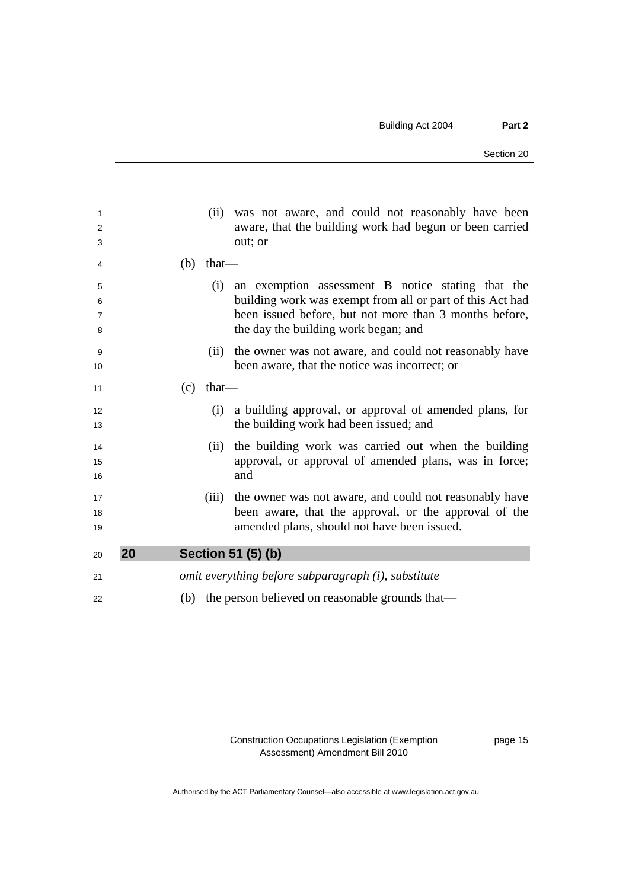<span id="page-18-0"></span>

| 1              |    |     |             | (ii) was not aware, and could not reasonably have been       |
|----------------|----|-----|-------------|--------------------------------------------------------------|
| $\overline{2}$ |    |     |             | aware, that the building work had begun or been carried      |
| 3              |    |     |             | out; or                                                      |
| 4              |    |     | $(b)$ that— |                                                              |
| 5              |    |     | (i)         | an exemption assessment B notice stating that the            |
| 6              |    |     |             | building work was exempt from all or part of this Act had    |
| $\overline{7}$ |    |     |             | been issued before, but not more than 3 months before,       |
| 8              |    |     |             | the day the building work began; and                         |
| 9              |    |     | (ii)        | the owner was not aware, and could not reasonably have       |
| 10             |    |     |             | been aware, that the notice was incorrect; or                |
| 11             |    | (c) | $that$ —    |                                                              |
| 12             |    |     | (i)         | a building approval, or approval of amended plans, for       |
| 13             |    |     |             | the building work had been issued; and                       |
| 14             |    |     | (i)         | the building work was carried out when the building          |
| 15             |    |     |             | approval, or approval of amended plans, was in force;        |
| 16             |    |     |             | and                                                          |
| 17             |    |     |             | (iii) the owner was not aware, and could not reasonably have |
| 18             |    |     |             | been aware, that the approval, or the approval of the        |
| 19             |    |     |             | amended plans, should not have been issued.                  |
|                |    |     |             |                                                              |
| 20             | 20 |     |             | Section 51 (5) (b)                                           |
| 21             |    |     |             | omit everything before subparagraph (i), substitute          |
| 22             |    |     |             | (b) the person believed on reasonable grounds that—          |
|                |    |     |             |                                                              |

page 15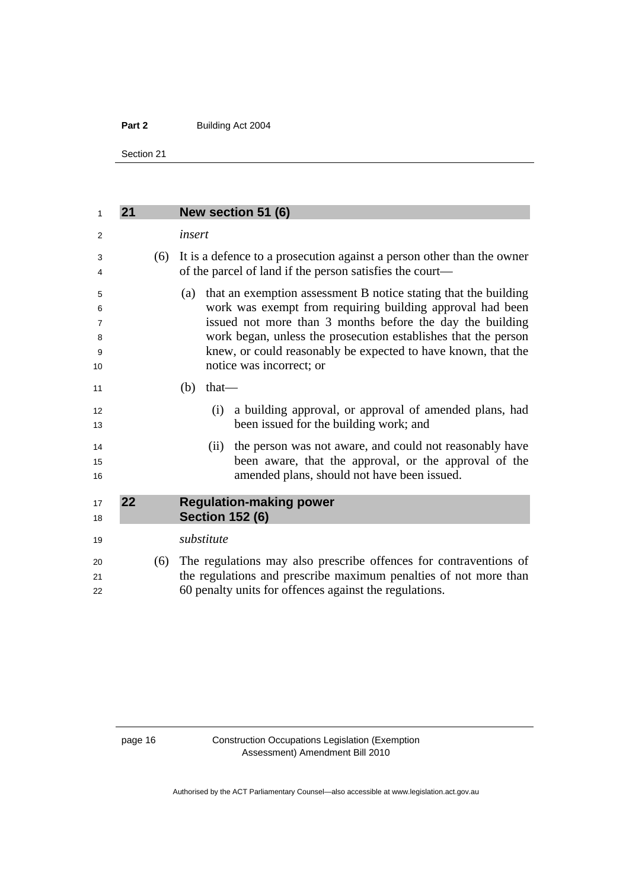<span id="page-19-0"></span>Section 21

| 1                                        | 21 |     | New section 51 (6)                                                                                                                                                                                                                                                                                                                                              |
|------------------------------------------|----|-----|-----------------------------------------------------------------------------------------------------------------------------------------------------------------------------------------------------------------------------------------------------------------------------------------------------------------------------------------------------------------|
| 2                                        |    |     | insert                                                                                                                                                                                                                                                                                                                                                          |
| 3<br>4                                   |    | (6) | It is a defence to a prosecution against a person other than the owner<br>of the parcel of land if the person satisfies the court—                                                                                                                                                                                                                              |
| 5<br>6<br>$\overline{7}$<br>8<br>9<br>10 |    |     | that an exemption assessment B notice stating that the building<br>(a)<br>work was exempt from requiring building approval had been<br>issued not more than 3 months before the day the building<br>work began, unless the prosecution establishes that the person<br>knew, or could reasonably be expected to have known, that the<br>notice was incorrect; or |
| 11                                       |    |     | (b)<br>$that$ —                                                                                                                                                                                                                                                                                                                                                 |
| 12<br>13                                 |    |     | a building approval, or approval of amended plans, had<br>(i)<br>been issued for the building work; and                                                                                                                                                                                                                                                         |
| 14<br>15<br>16                           |    |     | the person was not aware, and could not reasonably have<br>(ii)<br>been aware, that the approval, or the approval of the<br>amended plans, should not have been issued.                                                                                                                                                                                         |
| 17<br>18                                 | 22 |     | <b>Regulation-making power</b><br><b>Section 152 (6)</b>                                                                                                                                                                                                                                                                                                        |
| 19                                       |    |     | substitute                                                                                                                                                                                                                                                                                                                                                      |
| 20<br>21<br>22                           |    | (6) | The regulations may also prescribe offences for contraventions of<br>the regulations and prescribe maximum penalties of not more than<br>60 penalty units for offences against the regulations.                                                                                                                                                                 |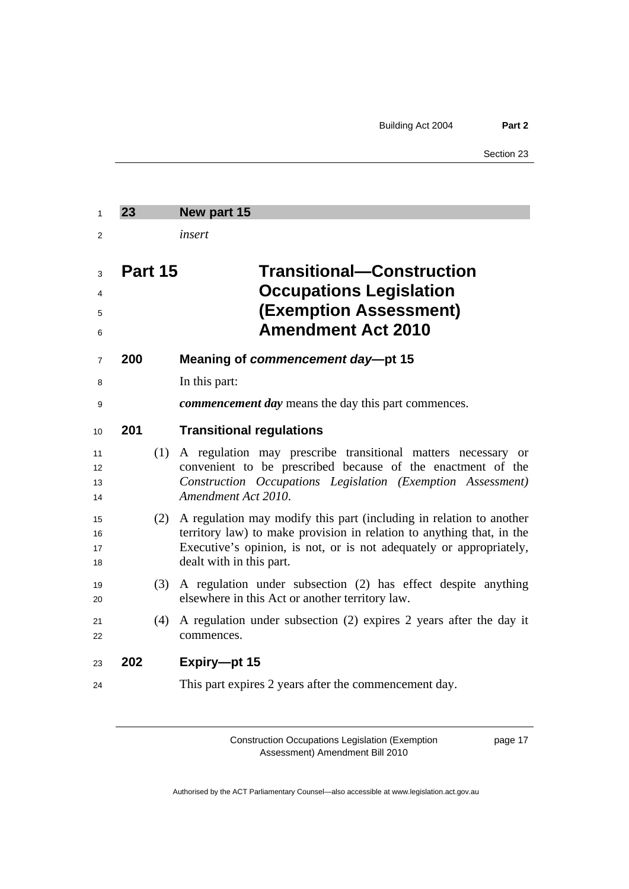<span id="page-20-0"></span>

| 1                    | 23      | New part 15                                                                                                                                                                                                                                     |
|----------------------|---------|-------------------------------------------------------------------------------------------------------------------------------------------------------------------------------------------------------------------------------------------------|
| 2                    |         | insert                                                                                                                                                                                                                                          |
| 3<br>4<br>5<br>6     | Part 15 | <b>Transitional-Construction</b><br><b>Occupations Legislation</b><br><b>(Exemption Assessment)</b><br><b>Amendment Act 2010</b>                                                                                                                |
| $\overline{7}$       | 200     | Meaning of commencement day-pt 15                                                                                                                                                                                                               |
| 8                    |         | In this part:                                                                                                                                                                                                                                   |
| 9                    |         | commencement day means the day this part commences.                                                                                                                                                                                             |
| 10                   | 201     | <b>Transitional regulations</b>                                                                                                                                                                                                                 |
| 11<br>12<br>13<br>14 | (1)     | A regulation may prescribe transitional matters necessary or<br>convenient to be prescribed because of the enactment of the<br>Construction Occupations Legislation (Exemption Assessment)<br>Amendment Act 2010.                               |
| 15<br>16<br>17<br>18 | (2)     | A regulation may modify this part (including in relation to another<br>territory law) to make provision in relation to anything that, in the<br>Executive's opinion, is not, or is not adequately or appropriately,<br>dealt with in this part. |
| 19<br>20             | (3)     | A regulation under subsection (2) has effect despite anything<br>elsewhere in this Act or another territory law.                                                                                                                                |
| 21<br>22             | (4)     | A regulation under subsection (2) expires 2 years after the day it<br>commences.                                                                                                                                                                |
| 23                   | 202     | Expiry-pt 15                                                                                                                                                                                                                                    |
| 24                   |         | This part expires 2 years after the commencement day.                                                                                                                                                                                           |

page 17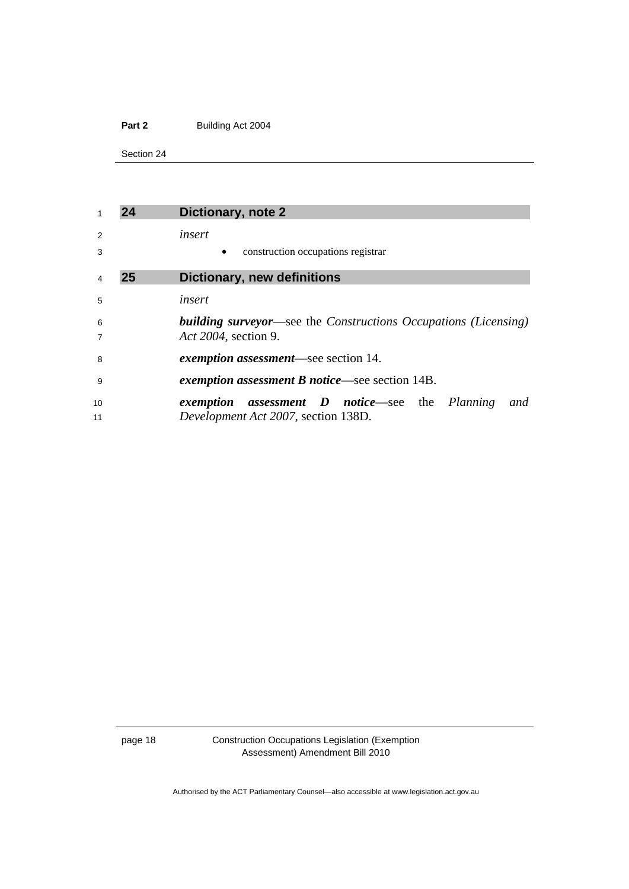<span id="page-21-0"></span>Section 24

|                     |    | Dictionary, note 2                                                                                     |
|---------------------|----|--------------------------------------------------------------------------------------------------------|
| 2                   |    | insert                                                                                                 |
| 3                   |    | construction occupations registrar                                                                     |
|                     | 25 | <b>Dictionary, new definitions</b>                                                                     |
| 5                   |    | insert                                                                                                 |
| 6<br>$\overline{7}$ |    | <b>building surveyor—see the Constructions Occupations (Licensing)</b><br>Act 2004, section 9.         |
| 8                   |    | exemption assessment—see section 14.                                                                   |
| 9                   |    | exemption assessment B notice—see section 14B.                                                         |
| 10<br>11            |    | <b>assessment D</b> notice—see the Planning<br>and<br>exemption<br>Development Act 2007, section 138D. |

page 18 Construction Occupations Legislation (Exemption Assessment) Amendment Bill 2010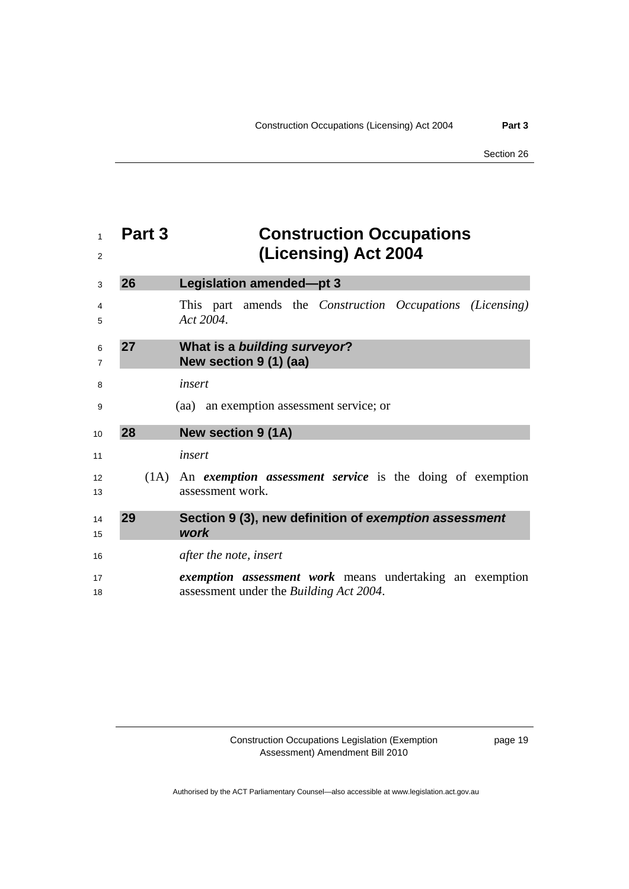<span id="page-22-0"></span>

| $\mathbf{1}$<br>2   | Part 3 | <b>Construction Occupations</b><br>(Licensing) Act 2004                                                    |
|---------------------|--------|------------------------------------------------------------------------------------------------------------|
| 3                   | 26     | Legislation amended-pt 3                                                                                   |
| 4<br>5              |        | This part amends the Construction Occupations (Licensing)<br>Act 2004.                                     |
| 6<br>$\overline{7}$ | 27     | What is a building surveyor?<br>New section 9 (1) (aa)                                                     |
| 8                   |        | insert                                                                                                     |
| 9                   |        | (aa) an exemption assessment service; or                                                                   |
| 10                  | 28     | <b>New section 9 (1A)</b>                                                                                  |
| 11                  |        | insert                                                                                                     |
| 12<br>13            |        | $(1A)$ An <i>exemption assessment service</i> is the doing of exemption<br>assessment work.                |
| 14<br>15            | 29     | Section 9 (3), new definition of exemption assessment<br>work                                              |
| 16                  |        | <i>after the note, insert</i>                                                                              |
| 17<br>18            |        | <i>exemption assessment work</i> means undertaking an exemption<br>assessment under the Building Act 2004. |

page 19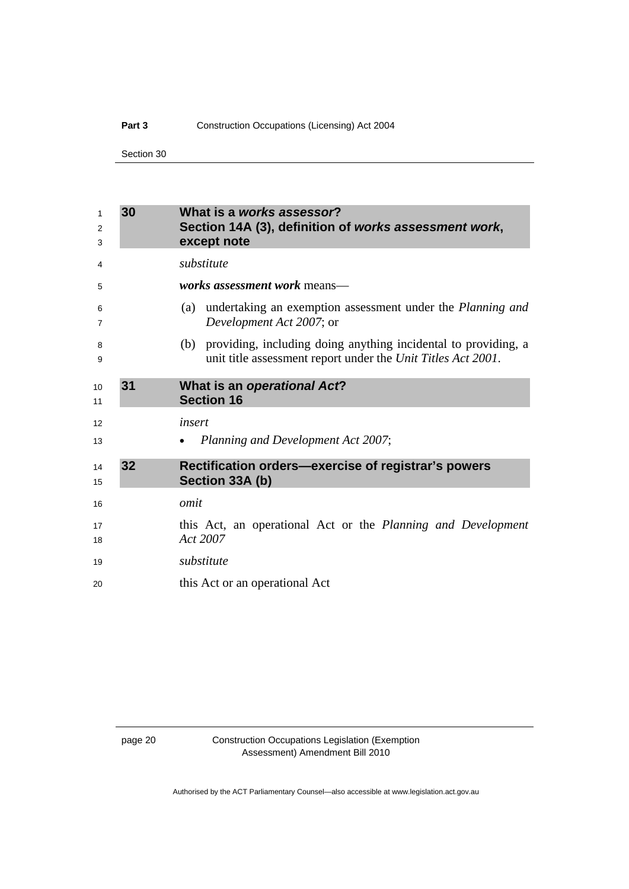### <span id="page-23-0"></span>Part 3 **Construction Occupations (Licensing) Act 2004**

Section 30

| 1<br>2<br>3 | 30 | What is a works assessor?<br>Section 14A (3), definition of works assessment work,<br>except note                                  |
|-------------|----|------------------------------------------------------------------------------------------------------------------------------------|
| 4           |    | substitute                                                                                                                         |
| 5           |    | <i>works assessment work means—</i>                                                                                                |
| 6<br>7      |    | (a) undertaking an exemption assessment under the <i>Planning and</i><br>Development Act 2007; or                                  |
| 8<br>9      |    | (b) providing, including doing anything incidental to providing, a<br>unit title assessment report under the Unit Titles Act 2001. |
| 10<br>11    | 31 | What is an operational Act?<br><b>Section 16</b>                                                                                   |
| 12          |    | insert                                                                                                                             |
| 13          |    | Planning and Development Act 2007;                                                                                                 |
| 14<br>15    | 32 | Rectification orders-exercise of registrar's powers<br>Section 33A (b)                                                             |
| 16          |    | omit                                                                                                                               |
| 17<br>18    |    | this Act, an operational Act or the Planning and Development<br>Act 2007                                                           |
| 19          |    | substitute                                                                                                                         |
| 20          |    | this Act or an operational Act                                                                                                     |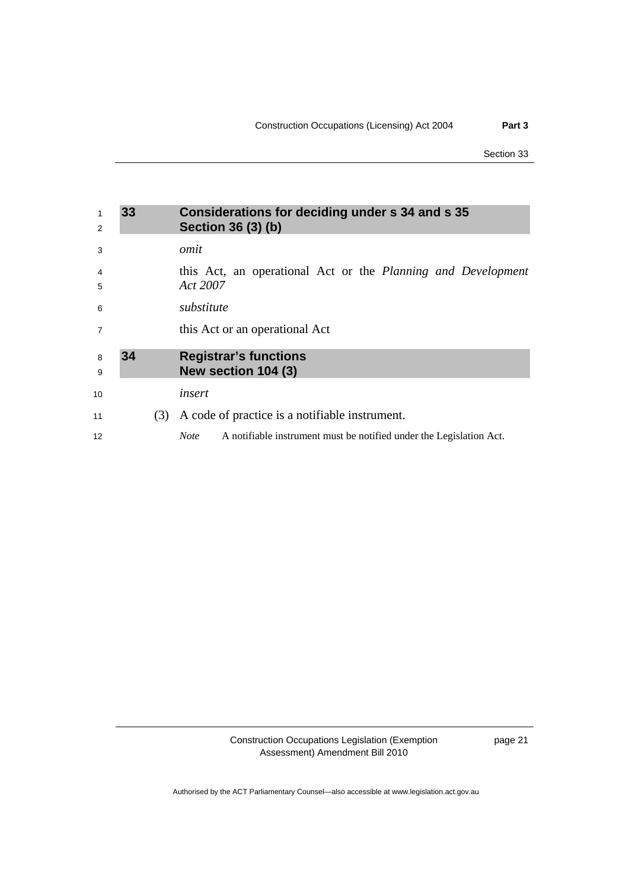Section 33

<span id="page-24-0"></span>

| 1<br>2         | 33 |     | Considerations for deciding under s 34 and s 35<br>Section 36 (3) (b)              |
|----------------|----|-----|------------------------------------------------------------------------------------|
| 3              |    |     | omit                                                                               |
| 4<br>5         |    |     | this Act, an operational Act or the Planning and Development<br>Act 2007           |
| 6              |    |     | substitute                                                                         |
| $\overline{7}$ |    |     | this Act or an operational Act                                                     |
| 8<br>9         | 34 |     | <b>Registrar's functions</b><br>New section 104 (3)                                |
| 10             |    |     | insert                                                                             |
| 11             |    | (3) | A code of practice is a notifiable instrument.                                     |
| 12             |    |     | <b>Note</b><br>A notifiable instrument must be notified under the Legislation Act. |

Construction Occupations Legislation (Exemption Assessment) Amendment Bill 2010

page 21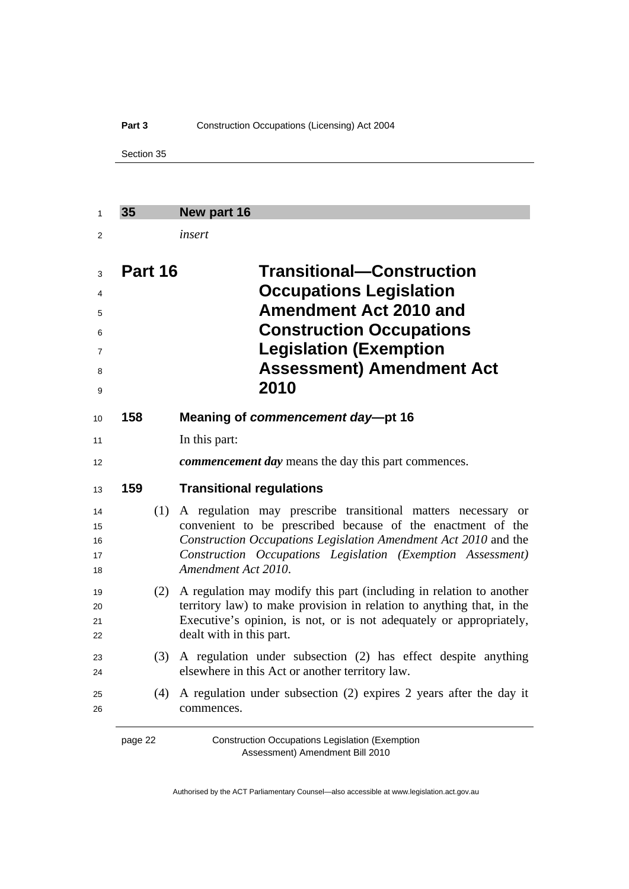### <span id="page-25-0"></span>Part 3 **Construction Occupations (Licensing) Act 2004**

Section 35

| 35      | New part 16                                                                                                                                                                                                                                                                                        |
|---------|----------------------------------------------------------------------------------------------------------------------------------------------------------------------------------------------------------------------------------------------------------------------------------------------------|
|         | insert                                                                                                                                                                                                                                                                                             |
| Part 16 | <b>Transitional–Construction</b><br><b>Occupations Legislation</b><br><b>Amendment Act 2010 and</b><br><b>Construction Occupations</b><br><b>Legislation (Exemption</b><br><b>Assessment) Amendment Act</b><br>2010                                                                                |
| 158     | Meaning of commencement day-pt 16                                                                                                                                                                                                                                                                  |
|         | In this part:                                                                                                                                                                                                                                                                                      |
|         | commencement day means the day this part commences.                                                                                                                                                                                                                                                |
| 159     | <b>Transitional regulations</b>                                                                                                                                                                                                                                                                    |
| (1)     | A regulation may prescribe transitional matters necessary<br><sub>or</sub><br>convenient to be prescribed because of the enactment of the<br>Construction Occupations Legislation Amendment Act 2010 and the<br>Construction Occupations Legislation (Exemption Assessment)<br>Amendment Act 2010. |
| (2)     | A regulation may modify this part (including in relation to another<br>territory law) to make provision in relation to anything that, in the<br>Executive's opinion, is not, or is not adequately or appropriately,<br>dealt with in this part.                                                    |
| (3)     | A regulation under subsection (2) has effect despite anything<br>elsewhere in this Act or another territory law.                                                                                                                                                                                   |
| (4)     | A regulation under subsection (2) expires 2 years after the day it<br>commences.                                                                                                                                                                                                                   |

page 22 Construction Occupations Legislation (Exemption Assessment) Amendment Bill 2010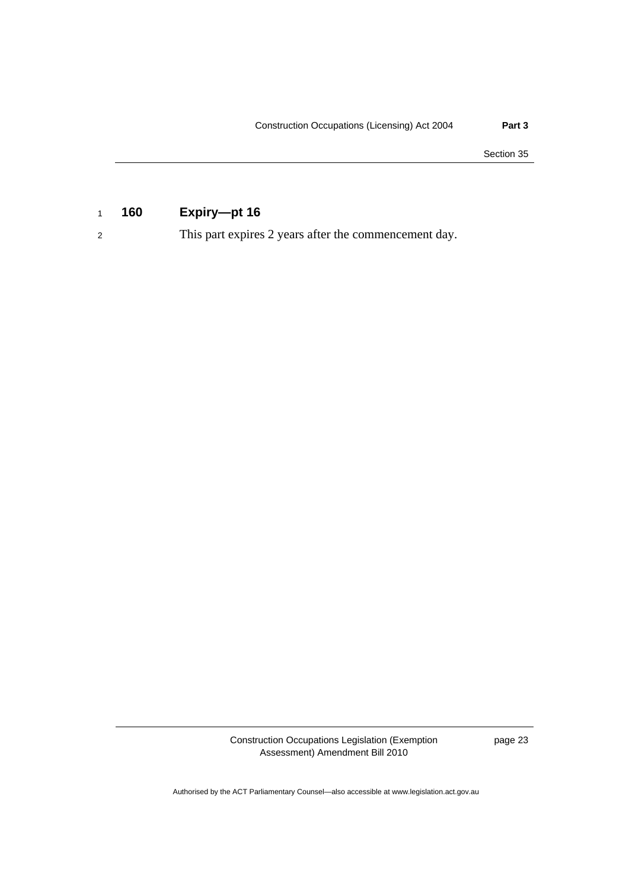Section 35

### <sup>1</sup>**160 Expiry—pt 16**

2 This part expires 2 years after the commencement day.

Construction Occupations Legislation (Exemption Assessment) Amendment Bill 2010

page 23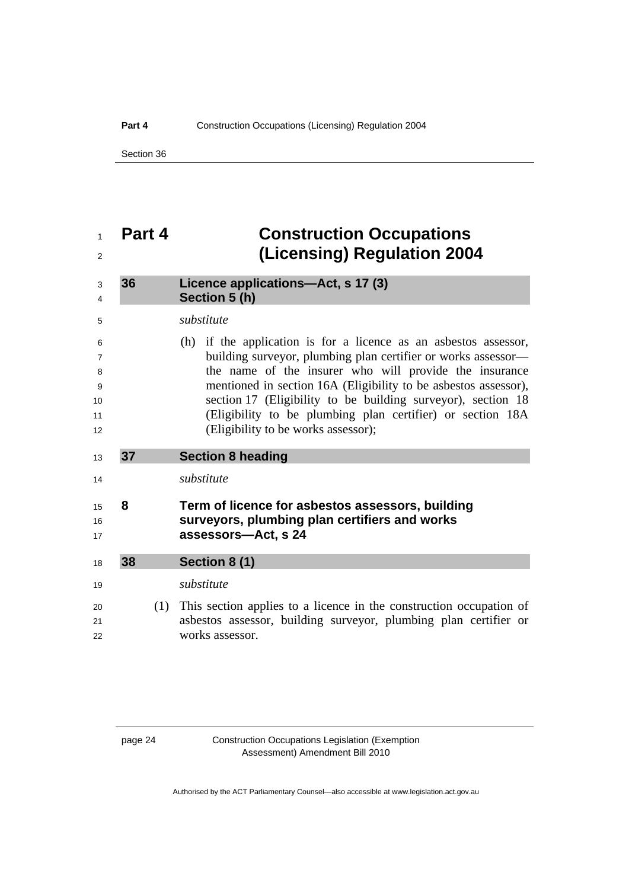<span id="page-27-0"></span>Section 36

| Part 4 | <b>Construction Occupations</b><br>(Licensing) Regulation 2004                                                                                                                                                                                                                                                                                                                                                                       |
|--------|--------------------------------------------------------------------------------------------------------------------------------------------------------------------------------------------------------------------------------------------------------------------------------------------------------------------------------------------------------------------------------------------------------------------------------------|
| 36     | Licence applications-Act, s 17 (3)<br>Section 5 (h)                                                                                                                                                                                                                                                                                                                                                                                  |
|        | substitute                                                                                                                                                                                                                                                                                                                                                                                                                           |
|        | (h) if the application is for a licence as an asbestos assessor,<br>building surveyor, plumbing plan certifier or works assessor—<br>the name of the insurer who will provide the insurance<br>mentioned in section 16A (Eligibility to be asbestos assessor),<br>section 17 (Eligibility to be building survey or), section 18<br>(Eligibility to be plumbing plan certifier) or section 18A<br>(Eligibility to be works assessor); |
| 37     | <b>Section 8 heading</b>                                                                                                                                                                                                                                                                                                                                                                                                             |
|        | substitute                                                                                                                                                                                                                                                                                                                                                                                                                           |
| 8      | Term of licence for asbestos assessors, building<br>surveyors, plumbing plan certifiers and works<br>assessors-Act, s 24                                                                                                                                                                                                                                                                                                             |
| 38     | Section 8 (1)                                                                                                                                                                                                                                                                                                                                                                                                                        |
|        | substitute                                                                                                                                                                                                                                                                                                                                                                                                                           |
| (1)    | This section applies to a licence in the construction occupation of<br>asbestos assessor, building surveyor, plumbing plan certifier or<br>works assessor.                                                                                                                                                                                                                                                                           |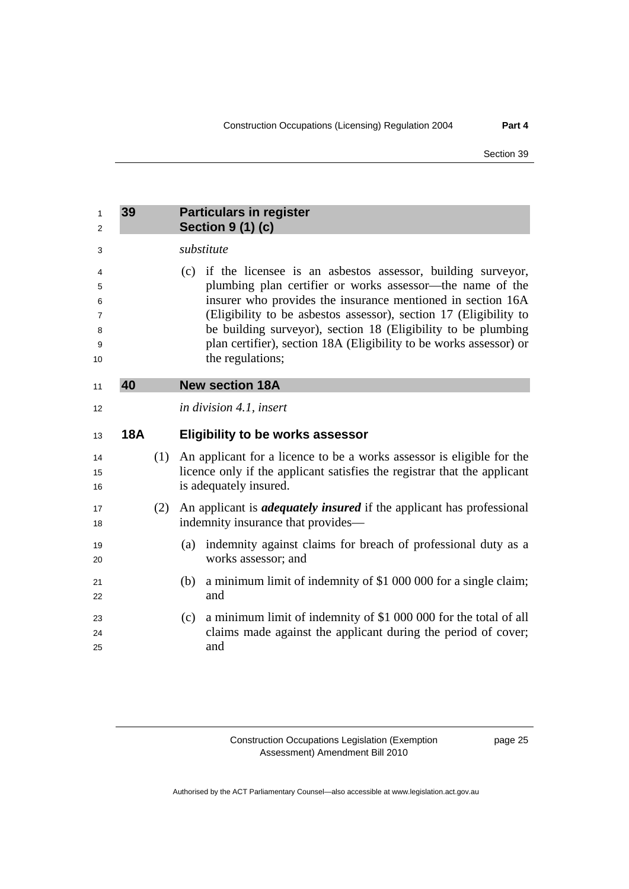<span id="page-28-0"></span>

| 1<br>2                           | 39         |     | <b>Particulars in register</b><br><b>Section 9 (1) (c)</b>                                                                                                                                                                                                                                                                                                                                                                  |
|----------------------------------|------------|-----|-----------------------------------------------------------------------------------------------------------------------------------------------------------------------------------------------------------------------------------------------------------------------------------------------------------------------------------------------------------------------------------------------------------------------------|
| 3                                |            |     | substitute                                                                                                                                                                                                                                                                                                                                                                                                                  |
| 4<br>5<br>6<br>7<br>8<br>9<br>10 |            |     | (c) if the licensee is an asbestos assessor, building surveyor,<br>plumbing plan certifier or works assessor-the name of the<br>insurer who provides the insurance mentioned in section 16A<br>(Eligibility to be asbestos assessor), section 17 (Eligibility to<br>be building surveyor), section 18 (Eligibility to be plumbing<br>plan certifier), section 18A (Eligibility to be works assessor) or<br>the regulations; |
| 11                               | 40         |     | <b>New section 18A</b>                                                                                                                                                                                                                                                                                                                                                                                                      |
| 12                               |            |     | <i>in division 4.1, insert</i>                                                                                                                                                                                                                                                                                                                                                                                              |
| 13                               | <b>18A</b> |     | <b>Eligibility to be works assessor</b>                                                                                                                                                                                                                                                                                                                                                                                     |
| 14<br>15<br>16                   |            | (1) | An applicant for a licence to be a works assessor is eligible for the<br>licence only if the applicant satisfies the registrar that the applicant<br>is adequately insured.                                                                                                                                                                                                                                                 |
| 17<br>18                         |            | (2) | An applicant is <i>adequately insured</i> if the applicant has professional<br>indemnity insurance that provides—                                                                                                                                                                                                                                                                                                           |
| 19<br>20                         |            |     | indemnity against claims for breach of professional duty as a<br>(a)<br>works assessor; and                                                                                                                                                                                                                                                                                                                                 |
| 21<br>22                         |            |     | a minimum limit of indemnity of \$1 000 000 for a single claim;<br>(b)<br>and                                                                                                                                                                                                                                                                                                                                               |
| 23<br>24<br>25                   |            |     | a minimum limit of indemnity of \$1 000 000 for the total of all<br>(c)<br>claims made against the applicant during the period of cover;<br>and                                                                                                                                                                                                                                                                             |

page 25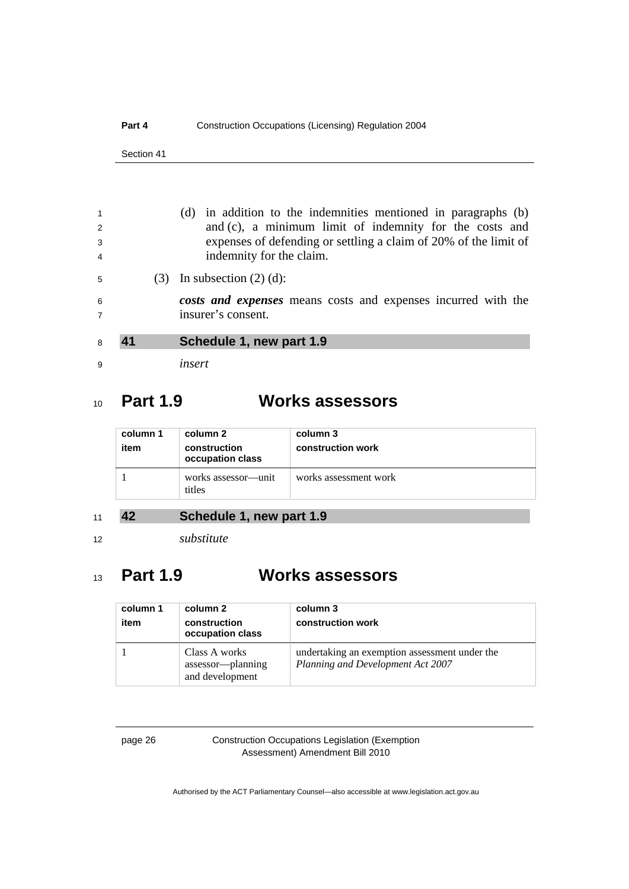<span id="page-29-0"></span>

| $\mathbf{1}$<br>2<br>3<br>$\overline{4}$ |  | in addition to the indemnities mentioned in paragraphs (b)<br>(d)<br>and (c), a minimum limit of indemnity for the costs and<br>expenses of defending or settling a claim of 20% of the limit of<br>indemnity for the claim. |
|------------------------------------------|--|------------------------------------------------------------------------------------------------------------------------------------------------------------------------------------------------------------------------------|
| 5                                        |  | In subsection $(2)$ $(d)$ :                                                                                                                                                                                                  |
| 6                                        |  | costs and expenses means costs and expenses incurred with the                                                                                                                                                                |
| $\overline{7}$                           |  | insurer's consent.                                                                                                                                                                                                           |
| 8                                        |  | Schedule 1, new part 1.9                                                                                                                                                                                                     |
| 9                                        |  | insert                                                                                                                                                                                                                       |

## <sup>10</sup>**Part 1.9 Works assessors**

| column 1<br>item | column 2<br>construction<br>occupation class | column 3<br>construction work |
|------------------|----------------------------------------------|-------------------------------|
|                  | works assessor—unit<br>titles                | works assessment work         |

### <sup>11</sup>**42 Schedule 1, new part 1.9**

<sup>12</sup>*substitute* 

## <sup>13</sup>**Part 1.9 Works assessors**

| column 1<br>item | column 2<br>construction<br>occupation class          | column 3<br>construction work                                                      |
|------------------|-------------------------------------------------------|------------------------------------------------------------------------------------|
|                  | Class A works<br>assessor—planning<br>and development | undertaking an exemption assessment under the<br>Planning and Development Act 2007 |

### page 26 Construction Occupations Legislation (Exemption Assessment) Amendment Bill 2010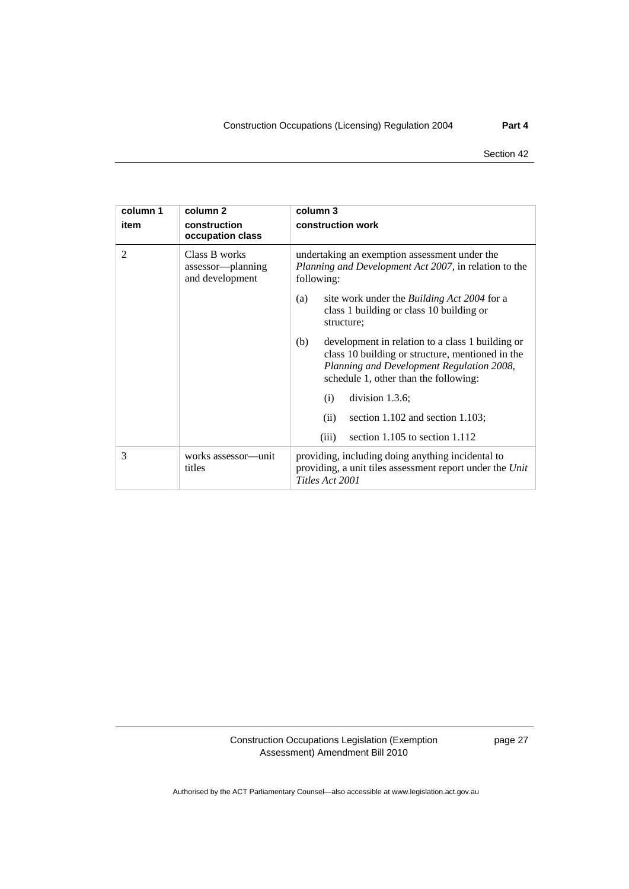| column 1       | column 2                                              | column 3                                                                                                                                                                                          |
|----------------|-------------------------------------------------------|---------------------------------------------------------------------------------------------------------------------------------------------------------------------------------------------------|
| item           | construction<br>occupation class                      | construction work                                                                                                                                                                                 |
| $\overline{2}$ | Class B works<br>assessor—planning<br>and development | undertaking an exemption assessment under the<br><i>Planning and Development Act 2007</i> , in relation to the<br>following:                                                                      |
|                |                                                       | site work under the <i>Building Act 2004</i> for a<br>(a)<br>class 1 building or class 10 building or<br>structure;                                                                               |
|                |                                                       | (b)<br>development in relation to a class 1 building or<br>class 10 building or structure, mentioned in the<br>Planning and Development Regulation 2008,<br>schedule 1, other than the following: |
|                |                                                       | division $1.3.6$ ;<br>(i)                                                                                                                                                                         |
|                |                                                       | section $1.102$ and section $1.103$ ;<br>(ii)                                                                                                                                                     |
|                |                                                       | section $1.105$ to section $1.112$<br>(iii)                                                                                                                                                       |
| 3              | works assessor—unit<br>titles                         | providing, including doing anything incidental to<br>providing, a unit tiles assessment report under the Unit<br>Titles Act 2001                                                                  |

page 27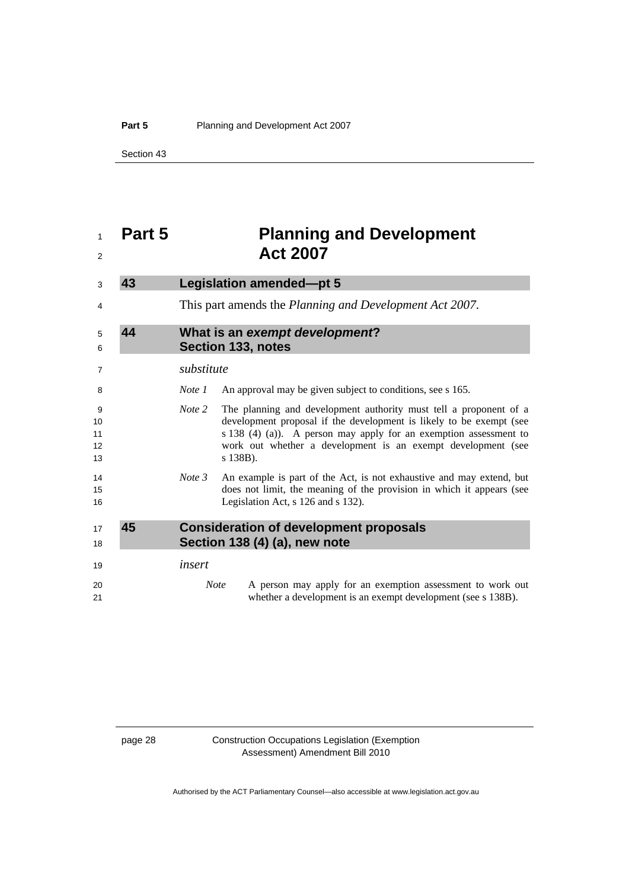<span id="page-31-0"></span>Section 43

## **Part 5 Planning and Development Act 2007 43 Legislation amended—pt 5**  This part amends the *Planning and Development Act 2007*. **44 What is an** *exempt development***? Section 133, notes**  *substitute Note 1* An approval may be given subject to conditions, see s 165. *Note 2* The planning and development authority must tell a proponent of a development proposal if the development is likely to be exempt (see s 138 (4) (a)). A person may apply for an exemption assessment to work out whether a development is an exempt development (see s 138B). *Note 3* An example is part of the Act, is not exhaustive and may extend, but does not limit, the meaning of the provision in which it appears (see 16 Legislation Act, s 126 and s 132). **45 Consideration of development proposals Section 138 (4) (a), new note**  *insert Note* A person may apply for an exemption assessment to work out whether a development is an exempt development (see s 138B).

#### page 28 Construction Occupations Legislation (Exemption Assessment) Amendment Bill 2010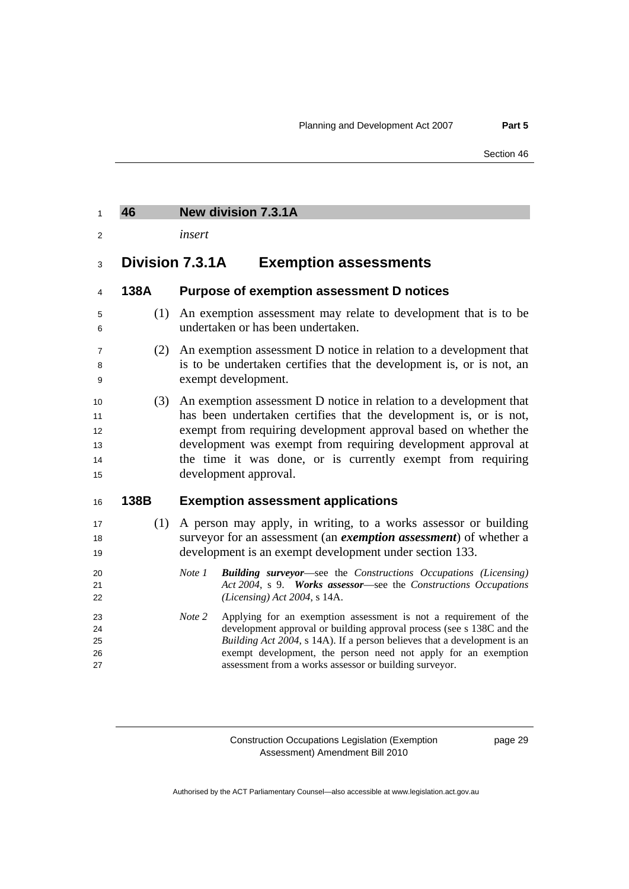### <span id="page-32-0"></span>**46 New division 7.3.1A**

*insert* 

### **Division 7.3.1A Exemption assessments**

### **138A Purpose of exemption assessment D notices**

- (1) An exemption assessment may relate to development that is to be undertaken or has been undertaken.
- (2) An exemption assessment D notice in relation to a development that is to be undertaken certifies that the development is, or is not, an exempt development.
- (3) An exemption assessment D notice in relation to a development that 11 has been undertaken certifies that the development is, or is not, exempt from requiring development approval based on whether the development was exempt from requiring development approval at 14 the time it was done, or is currently exempt from requiring 15 development approval.

### **138B Exemption assessment applications**

- (1) A person may apply, in writing, to a works assessor or building surveyor for an assessment (an *exemption assessment*) of whether a 19 development is an exempt development under section 133.
- *Note 1 Building surveyor*—see the *Constructions Occupations (Licensing) Act 2004*, s 9. *Works assessor*—see the *Constructions Occupations (Licensing) Act 2004*, s 14A.
- *Note 2* Applying for an exemption assessment is not a requirement of the development approval or building approval process (see s 138C and the *Building Act 2004*, s 14A). If a person believes that a development is an exempt development, the person need not apply for an exemption assessment from a works assessor or building surveyor.

Construction Occupations Legislation (Exemption Assessment) Amendment Bill 2010

page 29

Authorised by the ACT Parliamentary Counsel—also accessible at www.legislation.act.gov.au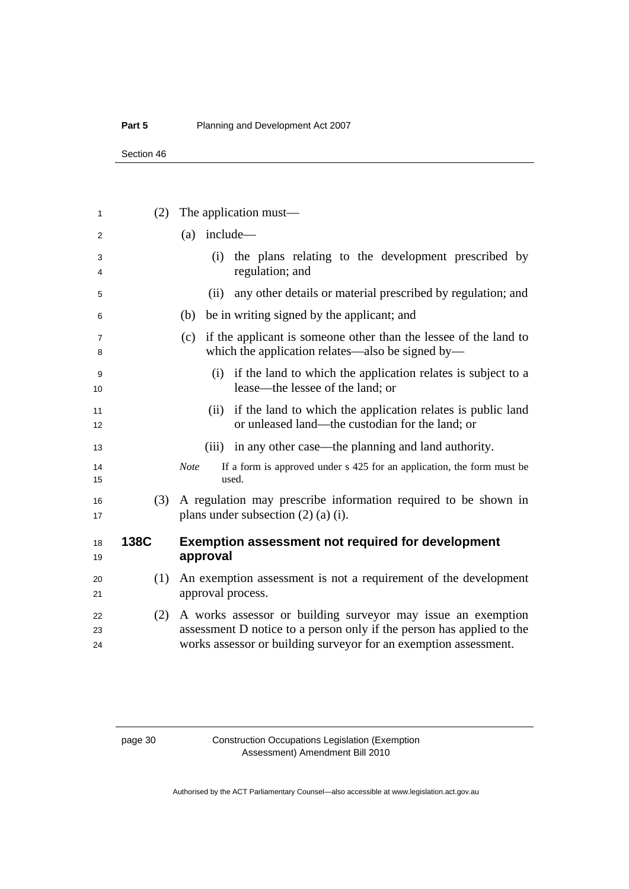### **Part 5** Planning and Development Act 2007

Section 46

| 1                   | (2)         | The application must—                                                                                                                     |
|---------------------|-------------|-------------------------------------------------------------------------------------------------------------------------------------------|
| 2                   |             | include—<br>(a)                                                                                                                           |
| 3<br>4              |             | the plans relating to the development prescribed by<br>(i)<br>regulation; and                                                             |
| 5                   |             | any other details or material prescribed by regulation; and<br>(ii)                                                                       |
| 6                   |             | be in writing signed by the applicant; and<br>(b)                                                                                         |
| $\overline{7}$<br>8 |             | if the applicant is someone other than the lessee of the land to<br>(c)<br>which the application relates—also be signed by—               |
| 9<br>10             |             | (i) if the land to which the application relates is subject to a<br>lease—the lessee of the land; or                                      |
| 11<br>12            |             | if the land to which the application relates is public land<br>(ii)<br>or unleased land—the custodian for the land; or                    |
| 13                  |             | (iii) in any other case—the planning and land authority.                                                                                  |
| 14<br>15            |             | If a form is approved under s 425 for an application, the form must be<br><b>Note</b><br>used.                                            |
| 16<br>17            | (3)         | A regulation may prescribe information required to be shown in<br>plans under subsection $(2)$ $(a)$ $(i)$ .                              |
| 18<br>19            | <b>138C</b> | <b>Exemption assessment not required for development</b><br>approval                                                                      |
| 20                  | (1)         | An exemption assessment is not a requirement of the development                                                                           |
| 21                  |             | approval process.                                                                                                                         |
| 22                  | (2)         | A works assessor or building surveyor may issue an exemption                                                                              |
| 23<br>24            |             | assessment D notice to a person only if the person has applied to the<br>works assessor or building surveyor for an exemption assessment. |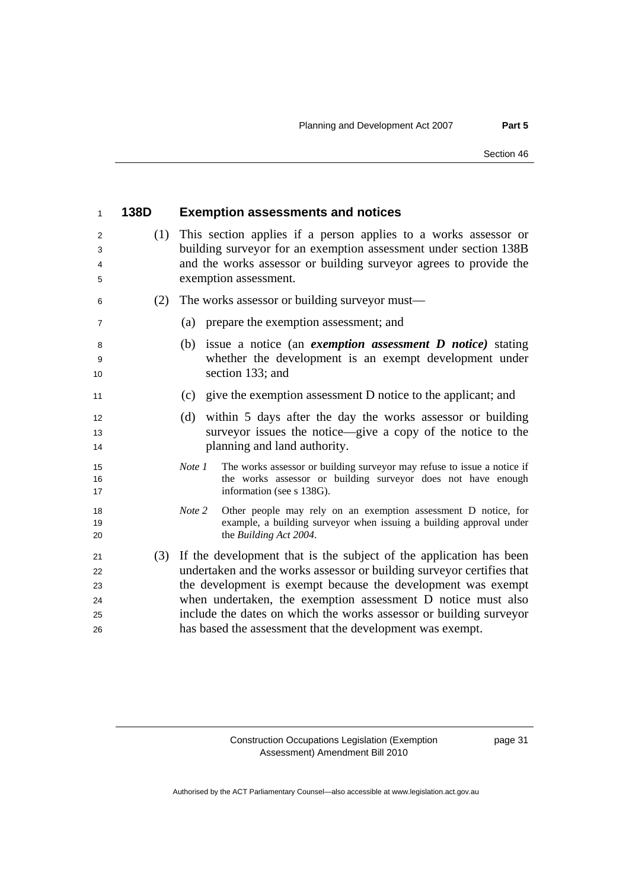| $\mathbf{1}$                     | 138D | <b>Exemption assessments and notices</b>                                                                                                                                                                                                                                                                                                                                                                           |
|----------------------------------|------|--------------------------------------------------------------------------------------------------------------------------------------------------------------------------------------------------------------------------------------------------------------------------------------------------------------------------------------------------------------------------------------------------------------------|
| 2<br>3<br>4<br>5                 | (1)  | This section applies if a person applies to a works assessor or<br>building surveyor for an exemption assessment under section 138B<br>and the works assessor or building surveyor agrees to provide the<br>exemption assessment.                                                                                                                                                                                  |
| 6                                | (2)  | The works assessor or building surveyor must—                                                                                                                                                                                                                                                                                                                                                                      |
| $\overline{7}$                   |      | prepare the exemption assessment; and<br>(a)                                                                                                                                                                                                                                                                                                                                                                       |
| 8<br>9<br>10                     |      | (b) issue a notice (an <i>exemption assessment D notice</i> ) stating<br>whether the development is an exempt development under<br>section 133; and                                                                                                                                                                                                                                                                |
| 11                               |      | (c) give the exemption assessment D notice to the applicant; and                                                                                                                                                                                                                                                                                                                                                   |
| 12<br>13<br>14                   |      | within 5 days after the day the works assessor or building<br>(d)<br>surveyor issues the notice—give a copy of the notice to the<br>planning and land authority.                                                                                                                                                                                                                                                   |
| 15<br>16<br>17                   |      | The works assessor or building surveyor may refuse to issue a notice if<br>Note 1<br>the works assessor or building surveyor does not have enough<br>information (see s 138G).                                                                                                                                                                                                                                     |
| 18<br>19<br>20                   |      | Other people may rely on an exemption assessment D notice, for<br>Note 2<br>example, a building surveyor when issuing a building approval under<br>the Building Act 2004.                                                                                                                                                                                                                                          |
| 21<br>22<br>23<br>24<br>25<br>26 |      | (3) If the development that is the subject of the application has been<br>undertaken and the works assessor or building surveyor certifies that<br>the development is exempt because the development was exempt<br>when undertaken, the exemption assessment D notice must also<br>include the dates on which the works assessor or building surveyor<br>has based the assessment that the development was exempt. |

page 31

Authorised by the ACT Parliamentary Counsel—also accessible at www.legislation.act.gov.au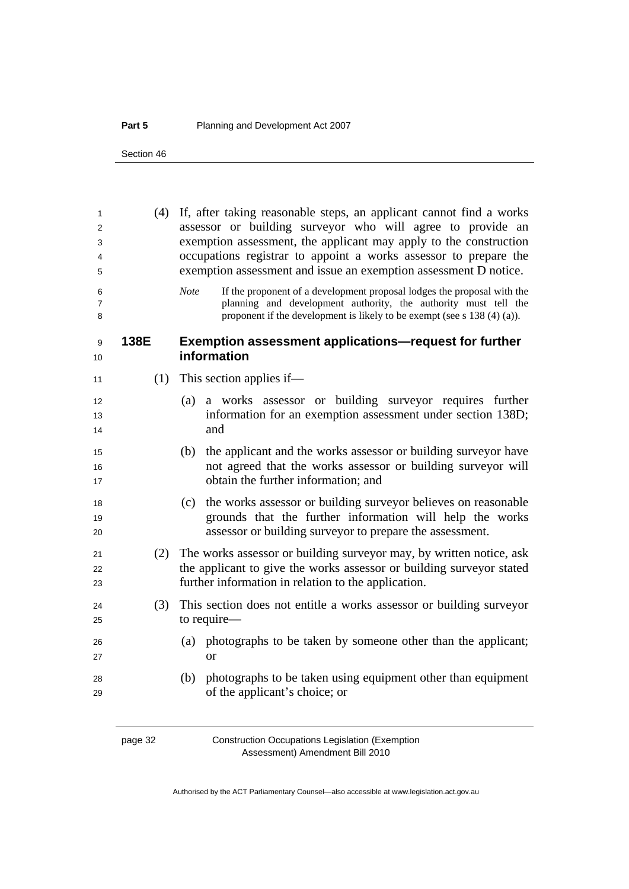### **Part 5** Planning and Development Act 2007

Section 46

| 1<br>2<br>3<br>4<br>5    | (4)  | If, after taking reasonable steps, an applicant cannot find a works<br>assessor or building surveyor who will agree to provide an<br>exemption assessment, the applicant may apply to the construction<br>occupations registrar to appoint a works assessor to prepare the<br>exemption assessment and issue an exemption assessment D notice. |  |  |
|--------------------------|------|------------------------------------------------------------------------------------------------------------------------------------------------------------------------------------------------------------------------------------------------------------------------------------------------------------------------------------------------|--|--|
| 6<br>$\overline{7}$<br>8 |      | <b>Note</b><br>If the proponent of a development proposal lodges the proposal with the<br>planning and development authority, the authority must tell the<br>proponent if the development is likely to be exempt (see $s$ 138 (4) (a)).                                                                                                        |  |  |
| 9<br>10                  | 138E | <b>Exemption assessment applications—request for further</b><br>information                                                                                                                                                                                                                                                                    |  |  |
| 11                       | (1)  | This section applies if—                                                                                                                                                                                                                                                                                                                       |  |  |
| 12<br>13<br>14           |      | a works assessor or building surveyor requires further<br>(a)<br>information for an exemption assessment under section 138D;<br>and                                                                                                                                                                                                            |  |  |
| 15<br>16<br>17           |      | (b) the applicant and the works assessor or building surveyor have<br>not agreed that the works assessor or building surveyor will<br>obtain the further information; and                                                                                                                                                                      |  |  |
| 18<br>19<br>20           |      | (c) the works assessor or building surveyor believes on reasonable<br>grounds that the further information will help the works<br>assessor or building survey or to prepare the assessment.                                                                                                                                                    |  |  |
| 21<br>22<br>23           | (2)  | The works assessor or building surveyor may, by written notice, ask<br>the applicant to give the works assessor or building surveyor stated<br>further information in relation to the application.                                                                                                                                             |  |  |
| 24<br>25                 | (3)  | This section does not entitle a works assessor or building surveyor<br>to require-                                                                                                                                                                                                                                                             |  |  |
| 26<br>27                 |      | (a) photographs to be taken by someone other than the applicant;<br><b>or</b>                                                                                                                                                                                                                                                                  |  |  |
| 28<br>29                 |      | photographs to be taken using equipment other than equipment<br>(b)<br>of the applicant's choice; or                                                                                                                                                                                                                                           |  |  |

page 32 Construction Occupations Legislation (Exemption Assessment) Amendment Bill 2010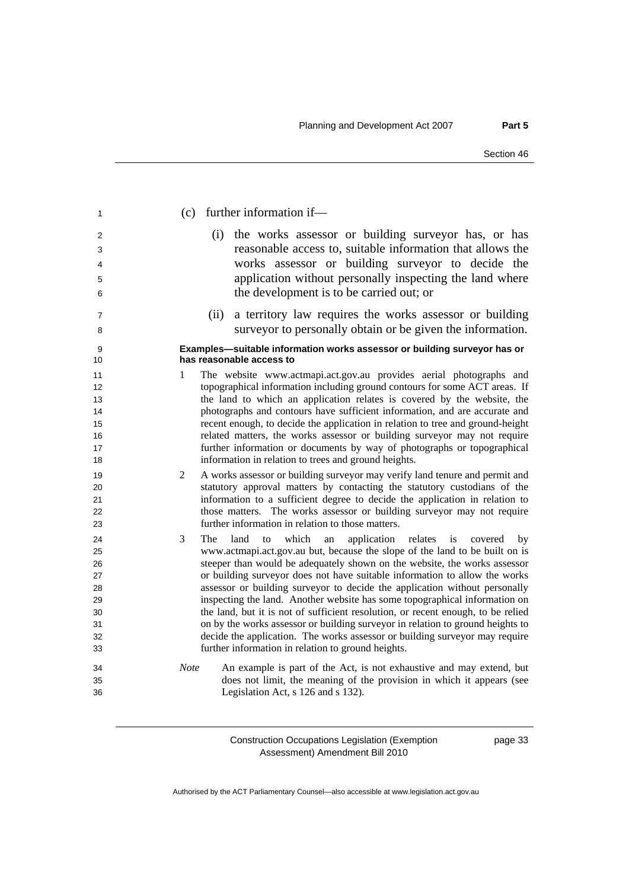| 1                                                        | further information if-<br>(c)                                                                                                                                                                                                                                                                                                                                                                                                                                                                                                                                                                                                                                                                                                                                                                          |
|----------------------------------------------------------|---------------------------------------------------------------------------------------------------------------------------------------------------------------------------------------------------------------------------------------------------------------------------------------------------------------------------------------------------------------------------------------------------------------------------------------------------------------------------------------------------------------------------------------------------------------------------------------------------------------------------------------------------------------------------------------------------------------------------------------------------------------------------------------------------------|
| 2<br>3<br>4<br>5<br>6                                    | the works assessor or building surveyor has, or has<br>(i)<br>reasonable access to, suitable information that allows the<br>works assessor or building surveyor to decide the<br>application without personally inspecting the land where<br>the development is to be carried out; or                                                                                                                                                                                                                                                                                                                                                                                                                                                                                                                   |
| $\overline{7}$<br>8                                      | a territory law requires the works assessor or building<br>(ii)<br>surveyor to personally obtain or be given the information.                                                                                                                                                                                                                                                                                                                                                                                                                                                                                                                                                                                                                                                                           |
| 9<br>10                                                  | Examples-suitable information works assessor or building surveyor has or<br>has reasonable access to                                                                                                                                                                                                                                                                                                                                                                                                                                                                                                                                                                                                                                                                                                    |
| 11<br>12<br>13<br>14<br>15<br>16<br>17<br>18             | The website www.actmapi.act.gov.au provides aerial photographs and<br>1<br>topographical information including ground contours for some ACT areas. If<br>the land to which an application relates is covered by the website, the<br>photographs and contours have sufficient information, and are accurate and<br>recent enough, to decide the application in relation to tree and ground-height<br>related matters, the works assessor or building surveyor may not require<br>further information or documents by way of photographs or topographical<br>information in relation to trees and ground heights.                                                                                                                                                                                         |
| 19<br>20<br>21<br>22<br>23                               | $\overline{2}$<br>A works assessor or building surveyor may verify land tenure and permit and<br>statutory approval matters by contacting the statutory custodians of the<br>information to a sufficient degree to decide the application in relation to<br>those matters. The works assessor or building surveyor may not require<br>further information in relation to those matters.                                                                                                                                                                                                                                                                                                                                                                                                                 |
| 24<br>25<br>26<br>27<br>28<br>29<br>30<br>31<br>32<br>33 | 3<br>The<br>land<br>which<br>application<br>relates<br>is<br>to<br>covered<br>an<br>by<br>www.actmapi.act.gov.au but, because the slope of the land to be built on is<br>steeper than would be adequately shown on the website, the works assessor<br>or building surveyor does not have suitable information to allow the works<br>assessor or building surveyor to decide the application without personally<br>inspecting the land. Another website has some topographical information on<br>the land, but it is not of sufficient resolution, or recent enough, to be relied<br>on by the works assessor or building surveyor in relation to ground heights to<br>decide the application. The works assessor or building surveyor may require<br>further information in relation to ground heights. |
| 34<br>35<br>36                                           | An example is part of the Act, is not exhaustive and may extend, but<br><b>Note</b><br>does not limit, the meaning of the provision in which it appears (see<br>Legislation Act, s 126 and s 132).                                                                                                                                                                                                                                                                                                                                                                                                                                                                                                                                                                                                      |

page 33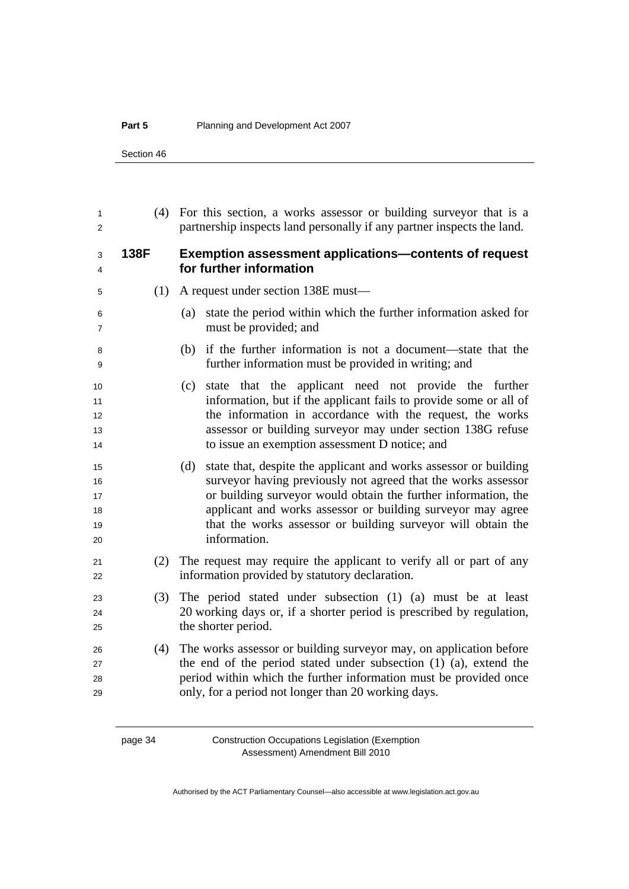### **Part 5** Planning and Development Act 2007

Section 46

| 1<br>2                           | (4)  | For this section, a works assessor or building survey or that is a<br>partnership inspects land personally if any partner inspects the land.                                                                                                                                                                                                              |  |  |  |
|----------------------------------|------|-----------------------------------------------------------------------------------------------------------------------------------------------------------------------------------------------------------------------------------------------------------------------------------------------------------------------------------------------------------|--|--|--|
| 3<br>4                           | 138F | <b>Exemption assessment applications-contents of request</b><br>for further information                                                                                                                                                                                                                                                                   |  |  |  |
| 5                                | (1)  | A request under section 138E must—                                                                                                                                                                                                                                                                                                                        |  |  |  |
| 6<br>$\overline{7}$              |      | state the period within which the further information asked for<br>(a)<br>must be provided; and                                                                                                                                                                                                                                                           |  |  |  |
| 8<br>9                           |      | if the further information is not a document—state that the<br>(b)<br>further information must be provided in writing; and                                                                                                                                                                                                                                |  |  |  |
| 10<br>11<br>12<br>13<br>14       |      | state that the applicant need not provide the further<br>(c)<br>information, but if the applicant fails to provide some or all of<br>the information in accordance with the request, the works<br>assessor or building surveyor may under section 138G refuse<br>to issue an exemption assessment D notice; and                                           |  |  |  |
| 15<br>16<br>17<br>18<br>19<br>20 |      | state that, despite the applicant and works assessor or building<br>(d)<br>surveyor having previously not agreed that the works assessor<br>or building surveyor would obtain the further information, the<br>applicant and works assessor or building surveyor may agree<br>that the works assessor or building surveyor will obtain the<br>information. |  |  |  |
| 21<br>22                         | (2)  | The request may require the applicant to verify all or part of any<br>information provided by statutory declaration.                                                                                                                                                                                                                                      |  |  |  |
| 23<br>24<br>25                   | (3)  | The period stated under subsection (1) (a) must be at least<br>20 working days or, if a shorter period is prescribed by regulation,<br>the shorter period.                                                                                                                                                                                                |  |  |  |
| 26<br>27<br>28<br>29             | (4)  | The works assessor or building surveyor may, on application before<br>the end of the period stated under subsection (1) (a), extend the<br>period within which the further information must be provided once<br>only, for a period not longer than 20 working days.                                                                                       |  |  |  |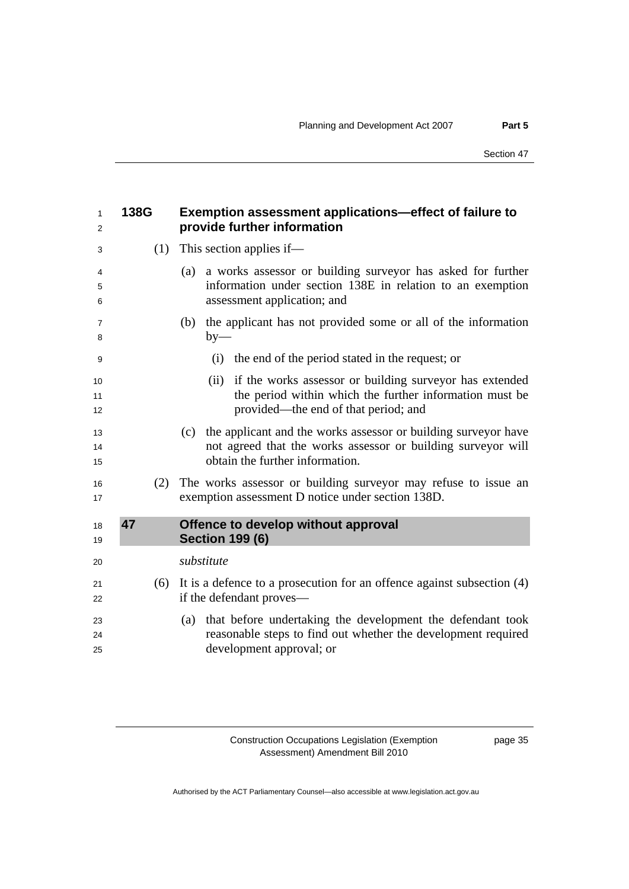<span id="page-38-0"></span>

| 1<br>2         | 138G | <b>Exemption assessment applications—effect of failure to</b><br>provide further information                                                                             |
|----------------|------|--------------------------------------------------------------------------------------------------------------------------------------------------------------------------|
| 3              | (1)  | This section applies if—                                                                                                                                                 |
| 4<br>5<br>6    |      | a works assessor or building surveyor has asked for further<br>(a)<br>information under section 138E in relation to an exemption<br>assessment application; and          |
| 7<br>8         |      | the applicant has not provided some or all of the information<br>(b)<br>$by-$                                                                                            |
| 9              |      | (i) the end of the period stated in the request; or                                                                                                                      |
| 10<br>11<br>12 |      | if the works assessor or building surveyor has extended<br>(ii)<br>the period within which the further information must be<br>provided—the end of that period; and       |
| 13<br>14<br>15 |      | the applicant and the works assessor or building surveyor have<br>(c)<br>not agreed that the works assessor or building surveyor will<br>obtain the further information. |
| 16<br>17       | (2)  | The works assessor or building surveyor may refuse to issue an<br>exemption assessment D notice under section 138D.                                                      |
| 18<br>19       | 47   | Offence to develop without approval<br><b>Section 199 (6)</b>                                                                                                            |
| 20             |      | substitute                                                                                                                                                               |
| 21<br>22       | (6)  | It is a defence to a prosecution for an offence against subsection $(4)$<br>if the defendant proves—                                                                     |
| 23<br>24<br>25 |      | that before undertaking the development the defendant took<br>(a)<br>reasonable steps to find out whether the development required<br>development approval; or           |

page 35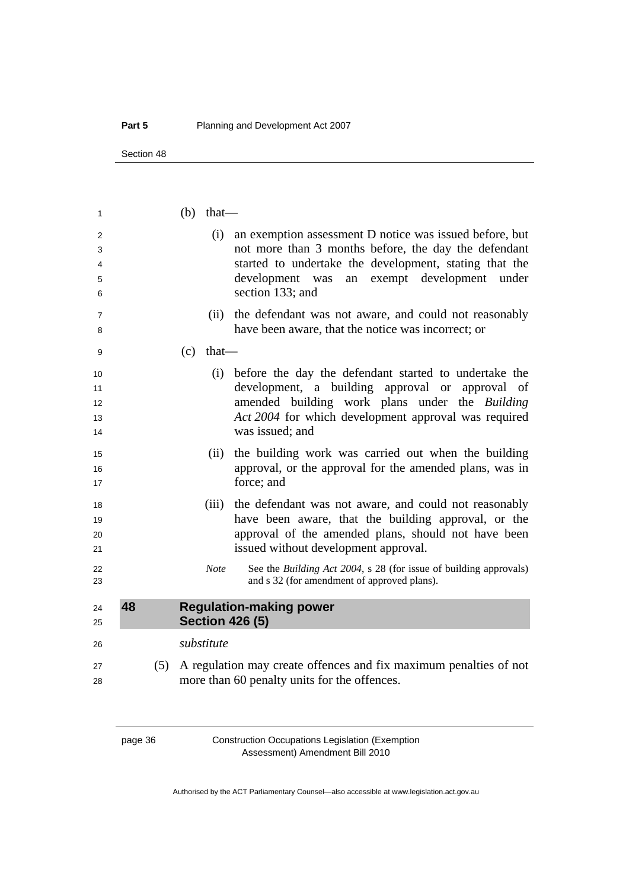Section 48

| 1  |    |  | $(b)$ that— |                                                                       |
|----|----|--|-------------|-----------------------------------------------------------------------|
| 2  |    |  |             | (i) an exemption assessment D notice was issued before, but           |
| 3  |    |  |             | not more than 3 months before, the day the defendant                  |
| 4  |    |  |             | started to undertake the development, stating that the                |
| 5  |    |  |             | development was<br>an exempt development<br>under                     |
| 6  |    |  |             | section 133; and                                                      |
| 7  |    |  | (ii)        | the defendant was not aware, and could not reasonably                 |
| 8  |    |  |             | have been aware, that the notice was incorrect; or                    |
| 9  |    |  | $(c)$ that— |                                                                       |
| 10 |    |  |             | (i) before the day the defendant started to undertake the             |
| 11 |    |  |             | development, a building approval or approval of                       |
| 12 |    |  |             | amended building work plans under the Building                        |
| 13 |    |  |             | Act 2004 for which development approval was required                  |
| 14 |    |  |             | was issued; and                                                       |
| 15 |    |  | (ii)        | the building work was carried out when the building                   |
| 16 |    |  |             | approval, or the approval for the amended plans, was in               |
| 17 |    |  |             | force; and                                                            |
| 18 |    |  | (iii)       | the defendant was not aware, and could not reasonably                 |
| 19 |    |  |             | have been aware, that the building approval, or the                   |
| 20 |    |  |             | approval of the amended plans, should not have been                   |
| 21 |    |  |             | issued without development approval.                                  |
| 22 |    |  | <b>Note</b> | See the Building Act 2004, s 28 (for issue of building approvals)     |
| 23 |    |  |             | and s 32 (for amendment of approved plans).                           |
| 24 | 48 |  |             | <b>Regulation-making power</b>                                        |
| 25 |    |  |             | <b>Section 426 (5)</b>                                                |
| 26 |    |  | substitute  |                                                                       |
| 27 |    |  |             | (5) A regulation may create offences and fix maximum penalties of not |
| 28 |    |  |             | more than 60 penalty units for the offences.                          |
|    |    |  |             |                                                                       |

page 36 Construction Occupations Legislation (Exemption Assessment) Amendment Bill 2010

<span id="page-39-0"></span>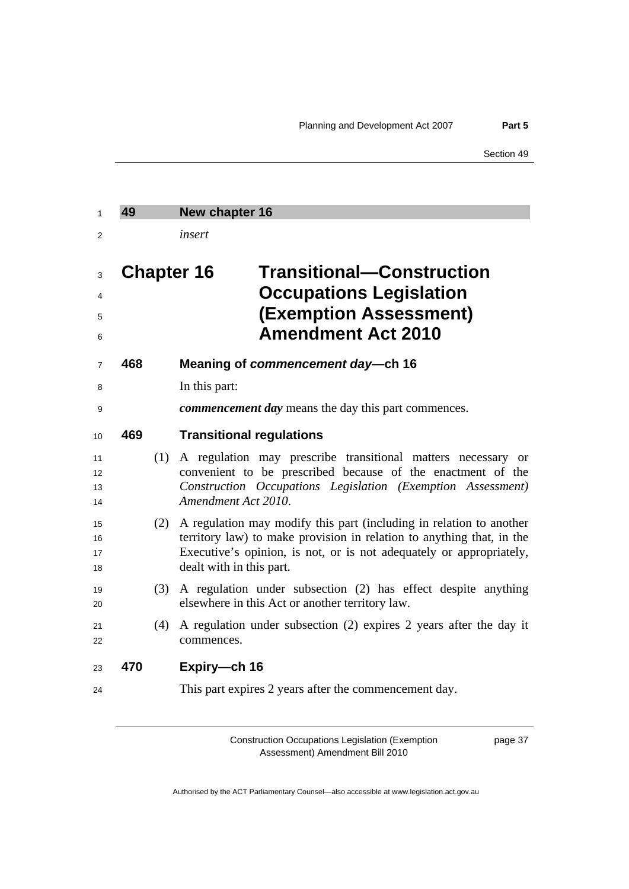<span id="page-40-0"></span>

| $\mathbf{1}$         | 49                |     | New chapter 16           |                                                                                                                                                                                                                     |
|----------------------|-------------------|-----|--------------------------|---------------------------------------------------------------------------------------------------------------------------------------------------------------------------------------------------------------------|
| 2                    |                   |     | insert                   |                                                                                                                                                                                                                     |
| 3<br>4<br>5<br>6     | <b>Chapter 16</b> |     |                          | <b>Transitional–Construction</b><br><b>Occupations Legislation</b><br><b>(Exemption Assessment)</b><br><b>Amendment Act 2010</b>                                                                                    |
| $\overline{7}$       | 468               |     |                          | Meaning of commencement day-ch 16                                                                                                                                                                                   |
| 8                    |                   |     | In this part:            |                                                                                                                                                                                                                     |
| 9                    |                   |     |                          | <i>commencement day</i> means the day this part commences.                                                                                                                                                          |
| 10                   | 469               |     |                          | <b>Transitional regulations</b>                                                                                                                                                                                     |
| 11<br>12<br>13<br>14 |                   | (1) | Amendment Act 2010.      | A regulation may prescribe transitional matters necessary<br><b>or</b><br>convenient to be prescribed because of the enactment of the<br>Construction Occupations Legislation (Exemption Assessment)                |
| 15<br>16<br>17<br>18 |                   | (2) | dealt with in this part. | A regulation may modify this part (including in relation to another<br>territory law) to make provision in relation to anything that, in the<br>Executive's opinion, is not, or is not adequately or appropriately, |
| 19<br>20             |                   | (3) |                          | A regulation under subsection (2) has effect despite anything<br>elsewhere in this Act or another territory law.                                                                                                    |
| 21<br>22             |                   | (4) | commences.               | A regulation under subsection (2) expires 2 years after the day it                                                                                                                                                  |
| 23                   | 470               |     | Expiry-ch 16             |                                                                                                                                                                                                                     |
| 24                   |                   |     |                          | This part expires 2 years after the commencement day.                                                                                                                                                               |

page 37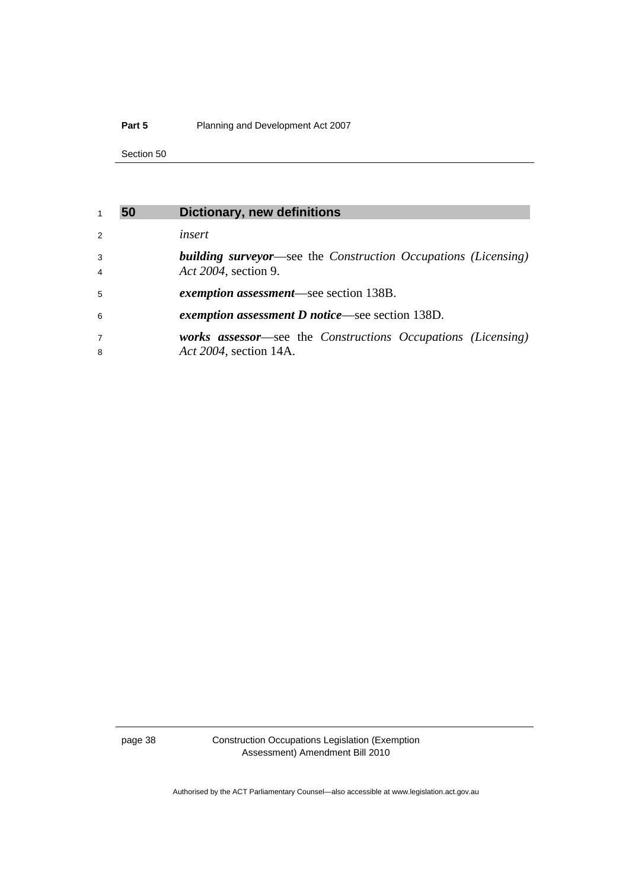### <span id="page-41-0"></span>**Part 5** Planning and Development Act 2007

Section 50

| $\mathbf 1$         | 50 | <b>Dictionary, new definitions</b>                                                            |
|---------------------|----|-----------------------------------------------------------------------------------------------|
| $\mathcal{P}$       |    | insert                                                                                        |
| 3<br>$\overline{4}$ |    | <b>building surveyor—see the Construction Occupations (Licensing)</b><br>Act 2004, section 9. |
| 5                   |    | exemption assessment—see section 138B.                                                        |
| 6                   |    | <i>exemption assessment D notice—see section 138D.</i>                                        |
| $\overline{7}$<br>8 |    | works assessor—see the Constructions Occupations (Licensing)<br>Act 2004, section 14A.        |

page 38 Construction Occupations Legislation (Exemption Assessment) Amendment Bill 2010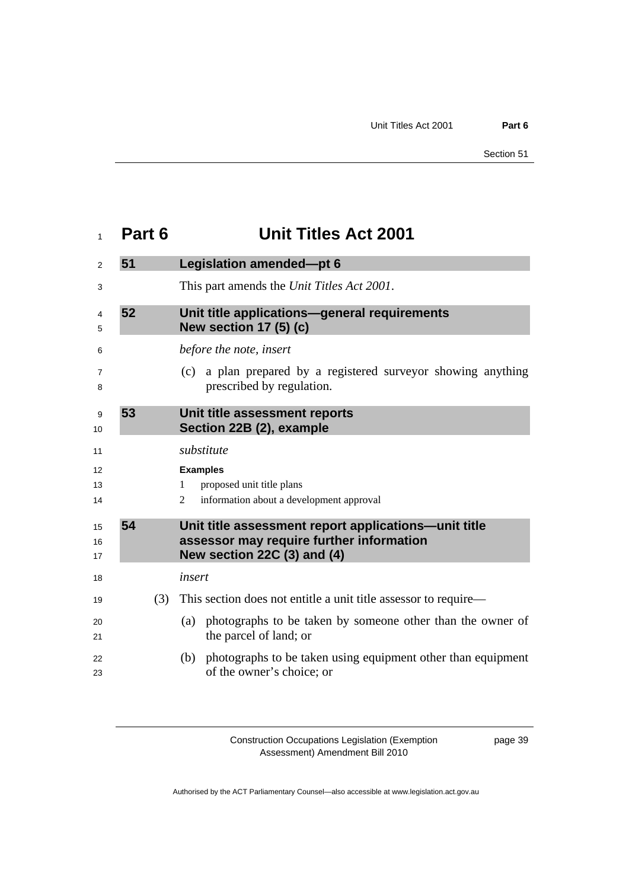<span id="page-42-0"></span>

| 1              | Part 6 | <b>Unit Titles Act 2001</b>                                                                                                     |  |  |
|----------------|--------|---------------------------------------------------------------------------------------------------------------------------------|--|--|
| 2              | 51     | Legislation amended-pt 6                                                                                                        |  |  |
| 3              |        | This part amends the Unit Titles Act 2001.                                                                                      |  |  |
| 4<br>5         | 52     | Unit title applications-general requirements<br><b>New section 17 (5) (c)</b>                                                   |  |  |
| 6              |        | before the note, insert                                                                                                         |  |  |
| 7<br>8         |        | (c) a plan prepared by a registered surveyor showing anything<br>prescribed by regulation.                                      |  |  |
| 9<br>10        | 53     | Unit title assessment reports<br>Section 22B (2), example                                                                       |  |  |
| 11             |        | substitute                                                                                                                      |  |  |
| 12             |        | <b>Examples</b>                                                                                                                 |  |  |
| 13<br>14       |        | proposed unit title plans<br>$\mathbf 1$<br>information about a development approval<br>2                                       |  |  |
| 15<br>16<br>17 | 54     | Unit title assessment report applications—unit title<br>assessor may require further information<br>New section 22C (3) and (4) |  |  |
| 18             |        | insert                                                                                                                          |  |  |
| 19             | (3)    | This section does not entitle a unit title assessor to require—                                                                 |  |  |
| 20<br>21       |        | photographs to be taken by someone other than the owner of<br>(a)<br>the parcel of land; or                                     |  |  |
| 22<br>23       |        | photographs to be taken using equipment other than equipment<br>(b)<br>of the owner's choice; or                                |  |  |

page 39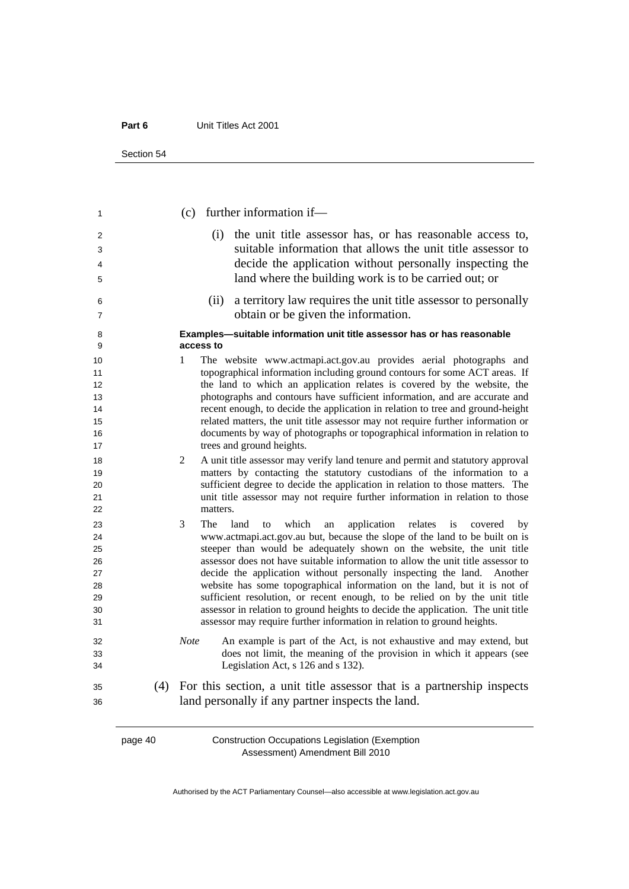| Section 54 |  |
|------------|--|
|------------|--|

| 1        |     | $(c)$ further information if—                                                                                                                           |
|----------|-----|---------------------------------------------------------------------------------------------------------------------------------------------------------|
| 2        |     | the unit title assessor has, or has reasonable access to,<br>(i)                                                                                        |
| 3        |     | suitable information that allows the unit title assessor to                                                                                             |
| 4        |     | decide the application without personally inspecting the                                                                                                |
| 5        |     | land where the building work is to be carried out; or                                                                                                   |
| 6        |     | a territory law requires the unit title assessor to personally<br>(ii)                                                                                  |
| 7        |     | obtain or be given the information.                                                                                                                     |
| 8<br>9   |     | Examples-suitable information unit title assessor has or has reasonable<br>access to                                                                    |
| 10       |     | The website www.actmapi.act.gov.au provides aerial photographs and<br>1                                                                                 |
| 11       |     | topographical information including ground contours for some ACT areas. If                                                                              |
| 12       |     | the land to which an application relates is covered by the website, the                                                                                 |
| 13       |     | photographs and contours have sufficient information, and are accurate and                                                                              |
| 14       |     | recent enough, to decide the application in relation to tree and ground-height                                                                          |
| 15       |     | related matters, the unit title assessor may not require further information or                                                                         |
| 16<br>17 |     | documents by way of photographs or topographical information in relation to<br>trees and ground heights.                                                |
|          |     |                                                                                                                                                         |
| 18       |     | $\overline{2}$<br>A unit title assessor may verify land tenure and permit and statutory approval                                                        |
| 19       |     | matters by contacting the statutory custodians of the information to a<br>sufficient degree to decide the application in relation to those matters. The |
| 20<br>21 |     | unit title assessor may not require further information in relation to those                                                                            |
| 22       |     | matters.                                                                                                                                                |
|          |     | 3<br><b>The</b><br>which<br>application<br>land                                                                                                         |
| 23<br>24 |     | relates<br>is<br>to<br>an<br>covered<br>bv<br>www.actmapi.act.gov.au but, because the slope of the land to be built on is                               |
| 25       |     | steeper than would be adequately shown on the website, the unit title                                                                                   |
| 26       |     | assessor does not have suitable information to allow the unit title assessor to                                                                         |
| 27       |     | decide the application without personally inspecting the land. Another                                                                                  |
| 28       |     | website has some topographical information on the land, but it is not of                                                                                |
| 29       |     | sufficient resolution, or recent enough, to be relied on by the unit title                                                                              |
| 30       |     | assessor in relation to ground heights to decide the application. The unit title                                                                        |
| 31       |     | assessor may require further information in relation to ground heights.                                                                                 |
| 32       |     | <b>Note</b><br>An example is part of the Act, is not exhaustive and may extend, but                                                                     |
| 33       |     | does not limit, the meaning of the provision in which it appears (see                                                                                   |
| 34       |     | Legislation Act, s 126 and s 132).                                                                                                                      |
| 35       | (4) | For this section, a unit title assessor that is a partnership inspects                                                                                  |
| 36       |     | land personally if any partner inspects the land.                                                                                                       |
|          |     |                                                                                                                                                         |